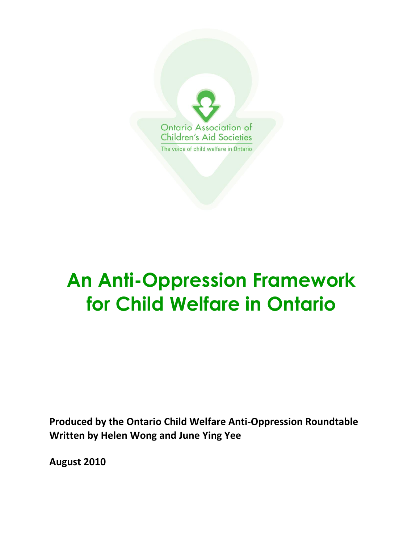

# **An Anti-Oppression Framework for Child Welfare in Ontario**

**Produced by the Ontario Child Welfare Anti-Oppression Roundtable Written by Helen Wong and June Ying Yee**

**August 2010**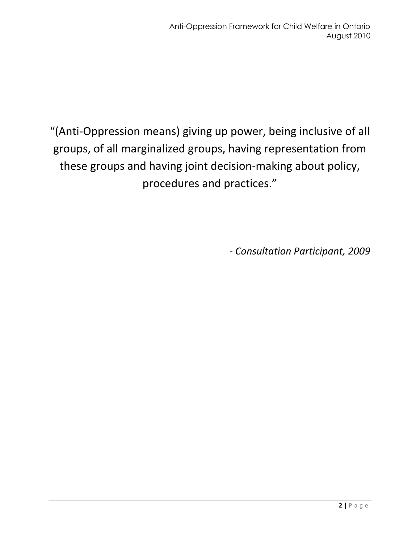"(Anti-Oppression means) giving up power, being inclusive of all groups, of all marginalized groups, having representation from these groups and having joint decision-making about policy, procedures and practices."

*- Consultation Participant, 2009*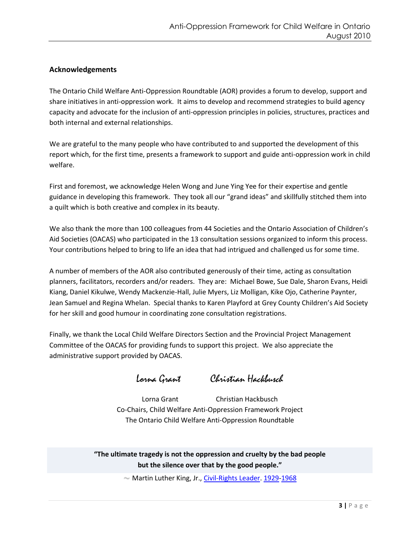### **Acknowledgements**

The Ontario Child Welfare Anti-Oppression Roundtable (AOR) provides a forum to develop, support and share initiatives in anti-oppression work. It aims to develop and recommend strategies to build agency capacity and advocate for the inclusion of anti-oppression principles in policies, structures, practices and both internal and external relationships.

We are grateful to the many people who have contributed to and supported the development of this report which, for the first time, presents a framework to support and guide anti-oppression work in child welfare.

First and foremost, we acknowledge Helen Wong and June Ying Yee for their expertise and gentle guidance in developing this framework. They took all our "grand ideas" and skillfully stitched them into a quilt which is both creative and complex in its beauty.

We also thank the more than 100 colleagues from 44 Societies and the Ontario Association of Children's Aid Societies (OACAS) who participated in the 13 consultation sessions organized to inform this process. Your contributions helped to bring to life an idea that had intrigued and challenged us for some time.

A number of members of the AOR also contributed generously of their time, acting as consultation planners, facilitators, recorders and/or readers. They are: Michael Bowe, Sue Dale, Sharon Evans, Heidi Kiang, Daniel Kikulwe, Wendy Mackenzie-Hall, Julie Myers, Liz Molligan, Kike Ojo, Catherine Paynter, Jean Samuel and Regina Whelan. Special thanks to Karen Playford at Grey County Children's Aid Society for her skill and good humour in coordinating zone consultation registrations.

Finally, we thank the Local Child Welfare Directors Section and the Provincial Project Management Committee of the OACAS for providing funds to support this project. We also appreciate the administrative support provided by OACAS.

Lorna Grant Christian Hackbusch

Lorna Grant Christian Hackbusch Co-Chairs, Child Welfare Anti-Oppression Framework Project The Ontario Child Welfare Anti-Oppression Roundtable

**"The ultimate tragedy is not the oppression and cruelty by the bad people but the silence over that by the good people."**

Martin Luther King, Jr., [Civil-Rights Leader.](http://thinkexist.com/occupation/famous_civil-rights_leaders/) [1929](http://thinkexist.com/birthday/january_15/)[-1968](http://thinkexist.com/birthday/april_4/)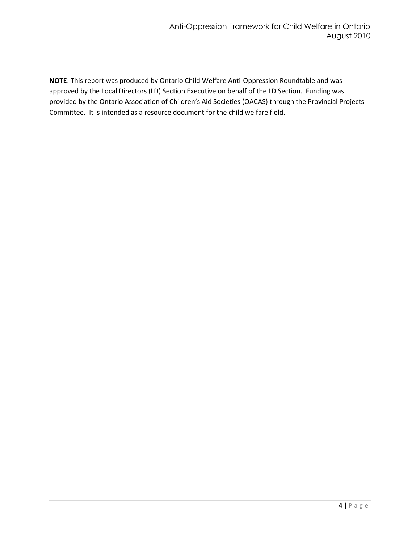**NOTE**: This report was produced by Ontario Child Welfare Anti-Oppression Roundtable and was approved by the Local Directors (LD) Section Executive on behalf of the LD Section. Funding was provided by the Ontario Association of Children's Aid Societies (OACAS) through the Provincial Projects Committee. It is intended as a resource document for the child welfare field.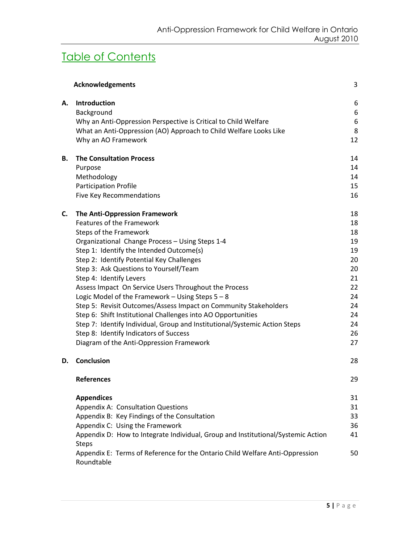# Table of Contents

|    | <b>Acknowledgements</b>                                                                                                                                                                                                                                                                                                                                                                                                                                                                                                                                                                                                                                                                                                      | 3                                                                                      |
|----|------------------------------------------------------------------------------------------------------------------------------------------------------------------------------------------------------------------------------------------------------------------------------------------------------------------------------------------------------------------------------------------------------------------------------------------------------------------------------------------------------------------------------------------------------------------------------------------------------------------------------------------------------------------------------------------------------------------------------|----------------------------------------------------------------------------------------|
| А. | Introduction<br>Background<br>Why an Anti-Oppression Perspective is Critical to Child Welfare<br>What an Anti-Oppression (AO) Approach to Child Welfare Looks Like<br>Why an AO Framework                                                                                                                                                                                                                                                                                                                                                                                                                                                                                                                                    | 6<br>6<br>6<br>8<br>12                                                                 |
| В. | <b>The Consultation Process</b><br>Purpose<br>Methodology<br><b>Participation Profile</b><br>Five Key Recommendations                                                                                                                                                                                                                                                                                                                                                                                                                                                                                                                                                                                                        | 14<br>14<br>14<br>15<br>16                                                             |
| C. | The Anti-Oppression Framework<br>Features of the Framework<br>Steps of the Framework<br>Organizational Change Process - Using Steps 1-4<br>Step 1: Identify the Intended Outcome(s)<br>Step 2: Identify Potential Key Challenges<br>Step 3: Ask Questions to Yourself/Team<br>Step 4: Identify Levers<br>Assess Impact On Service Users Throughout the Process<br>Logic Model of the Framework - Using Steps $5 - 8$<br>Step 5: Revisit Outcomes/Assess Impact on Community Stakeholders<br>Step 6: Shift Institutional Challenges into AO Opportunities<br>Step 7: Identify Individual, Group and Institutional/Systemic Action Steps<br>Step 8: Identify Indicators of Success<br>Diagram of the Anti-Oppression Framework | 18<br>18<br>18<br>19<br>19<br>20<br>20<br>21<br>22<br>24<br>24<br>24<br>24<br>26<br>27 |
| D. | Conclusion                                                                                                                                                                                                                                                                                                                                                                                                                                                                                                                                                                                                                                                                                                                   | 28                                                                                     |
|    | <b>References</b>                                                                                                                                                                                                                                                                                                                                                                                                                                                                                                                                                                                                                                                                                                            | 29                                                                                     |
|    | <b>Appendices</b><br>Appendix A: Consultation Questions<br>Appendix B: Key Findings of the Consultation<br>Appendix C: Using the Framework<br>Appendix D: How to Integrate Individual, Group and Institutional/Systemic Action<br><b>Steps</b><br>Appendix E: Terms of Reference for the Ontario Child Welfare Anti-Oppression<br>Roundtable                                                                                                                                                                                                                                                                                                                                                                                 | 31<br>31<br>33<br>36<br>41<br>50                                                       |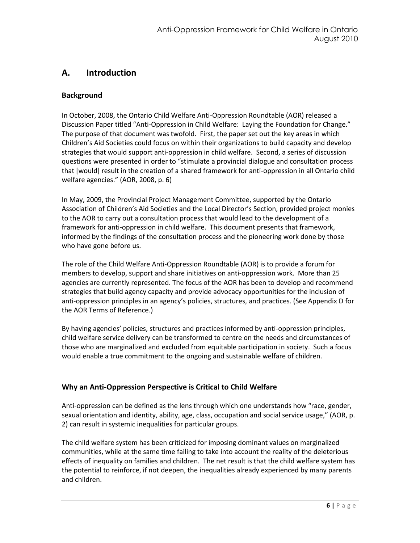# **A. Introduction**

### **Background**

In October, 2008, the Ontario Child Welfare Anti-Oppression Roundtable (AOR) released a Discussion Paper titled "Anti-Oppression in Child Welfare: Laying the Foundation for Change." The purpose of that document was twofold. First, the paper set out the key areas in which Children's Aid Societies could focus on within their organizations to build capacity and develop strategies that would support anti-oppression in child welfare. Second, a series of discussion questions were presented in order to "stimulate a provincial dialogue and consultation process that [would] result in the creation of a shared framework for anti-oppression in all Ontario child welfare agencies." (AOR, 2008, p. 6)

In May, 2009, the Provincial Project Management Committee, supported by the Ontario Association of Children's Aid Societies and the Local Director's Section, provided project monies to the AOR to carry out a consultation process that would lead to the development of a framework for anti-oppression in child welfare. This document presents that framework, informed by the findings of the consultation process and the pioneering work done by those who have gone before us.

The role of the Child Welfare Anti-Oppression Roundtable (AOR) is to provide a forum for members to develop, support and share initiatives on anti-oppression work. More than 25 agencies are currently represented. The focus of the AOR has been to develop and recommend strategies that build agency capacity and provide advocacy opportunities for the inclusion of anti-oppression principles in an agency's policies, structures, and practices. (See Appendix D for the AOR Terms of Reference.)

By having agencies' policies, structures and practices informed by anti-oppression principles, child welfare service delivery can be transformed to centre on the needs and circumstances of those who are marginalized and excluded from equitable participation in society. Such a focus would enable a true commitment to the ongoing and sustainable welfare of children.

### **Why an Anti-Oppression Perspective is Critical to Child Welfare**

Anti-oppression can be defined as the lens through which one understands how "race, gender, sexual orientation and identity, ability, age, class, occupation and social service usage," (AOR, p. 2) can result in systemic inequalities for particular groups.

The child welfare system has been criticized for imposing dominant values on marginalized communities, while at the same time failing to take into account the reality of the deleterious effects of inequality on families and children. The net result is that the child welfare system has the potential to reinforce, if not deepen, the inequalities already experienced by many parents and children.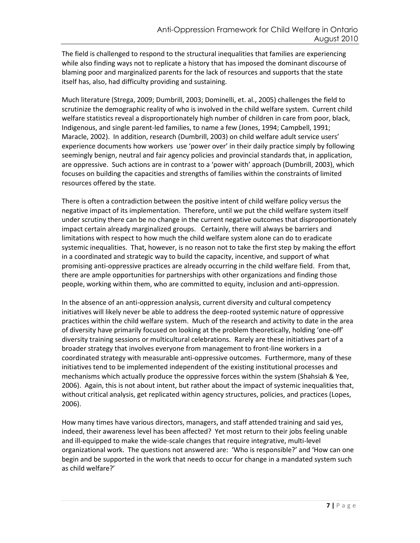The field is challenged to respond to the structural inequalities that families are experiencing while also finding ways not to replicate a history that has imposed the dominant discourse of blaming poor and marginalized parents for the lack of resources and supports that the state itself has, also, had difficulty providing and sustaining.

Much literature (Strega, 2009; Dumbrill, 2003; Dominelli, et. al., 2005) challenges the field to scrutinize the demographic reality of who is involved in the child welfare system. Current child welfare statistics reveal a disproportionately high number of children in care from poor, black, Indigenous, and single parent-led families, to name a few (Jones, 1994; Campbell, 1991; Maracle, 2002). In addition, research (Dumbrill, 2003) on child welfare adult service users' experience documents how workers use 'power over' in their daily practice simply by following seemingly benign, neutral and fair agency policies and provincial standards that, in application, are oppressive. Such actions are in contrast to a 'power with' approach (Dumbrill, 2003), which focuses on building the capacities and strengths of families within the constraints of limited resources offered by the state.

There is often a contradiction between the positive intent of child welfare policy versus the negative impact of its implementation. Therefore, until we put the child welfare system itself under scrutiny there can be no change in the current negative outcomes that disproportionately impact certain already marginalized groups. Certainly, there will always be barriers and limitations with respect to how much the child welfare system alone can do to eradicate systemic inequalities. That, however, is no reason not to take the first step by making the effort in a coordinated and strategic way to build the capacity, incentive, and support of what promising anti-oppressive practices are already occurring in the child welfare field. From that, there are ample opportunities for partnerships with other organizations and finding those people, working within them, who are committed to equity, inclusion and anti-oppression.

In the absence of an anti-oppression analysis, current diversity and cultural competency initiatives will likely never be able to address the deep-rooted systemic nature of oppressive practices within the child welfare system. Much of the research and activity to date in the area of diversity have primarily focused on looking at the problem theoretically, holding 'one-off' diversity training sessions or multicultural celebrations. Rarely are these initiatives part of a broader strategy that involves everyone from management to front-line workers in a coordinated strategy with measurable anti-oppressive outcomes. Furthermore, many of these initiatives tend to be implemented independent of the existing institutional processes and mechanisms which actually produce the oppressive forces within the system (Shahsiah & Yee, 2006). Again, this is not about intent, but rather about the impact of systemic inequalities that, without critical analysis, get replicated within agency structures, policies, and practices (Lopes, 2006).

How many times have various directors, managers, and staff attended training and said yes, indeed, their awareness level has been affected? Yet most return to their jobs feeling unable and ill-equipped to make the wide-scale changes that require integrative, multi-level organizational work. The questions not answered are: 'Who is responsible?' and 'How can one begin and be supported in the work that needs to occur for change in a mandated system such as child welfare?'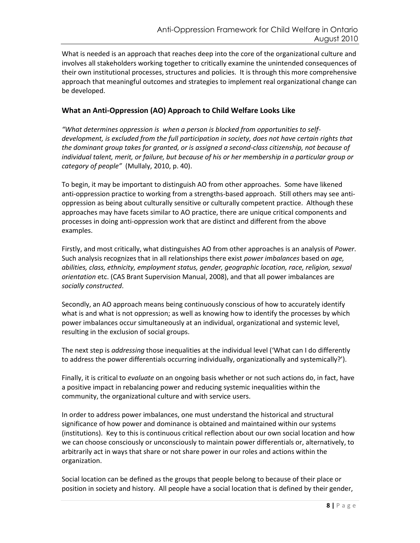What is needed is an approach that reaches deep into the core of the organizational culture and involves all stakeholders working together to critically examine the unintended consequences of their own institutional processes, structures and policies. It is through this more comprehensive approach that meaningful outcomes and strategies to implement real organizational change can be developed.

### **What an Anti-Oppression (AO) Approach to Child Welfare Looks Like**

*"What determines oppression is when a person is blocked from opportunities to selfdevelopment, is excluded from the full participation in society, does not have certain rights that the dominant group takes for granted, or is assigned a second-class citizenship, not because of individual talent, merit, or failure, but because of his or her membership in a particular group or category of people"* (Mullaly, 2010, p. 40).

To begin, it may be important to distinguish AO from other approaches. Some have likened anti-oppression practice to working from a strengths-based approach. Still others may see antioppression as being about culturally sensitive or culturally competent practice. Although these approaches may have facets similar to AO practice, there are unique critical components and processes in doing anti-oppression work that are distinct and different from the above examples.

Firstly, and most critically, what distinguishes AO from other approaches is an analysis of *Power*. Such analysis recognizes that in all relationships there exist *power imbalances* based on *age, abilities, class, ethnicity, employment status, gender, geographic location, race, religion, sexual orientation* etc. (CAS Brant Supervision Manual, 2008), and that all power imbalances are *socially constructed*.

Secondly, an AO approach means being continuously conscious of how to accurately identify what is and what is not oppression; as well as knowing how to identify the processes by which power imbalances occur simultaneously at an individual, organizational and systemic level, resulting in the exclusion of social groups.

The next step is *addressing* those inequalities at the individual level ('What can I do differently to address the power differentials occurring individually, organizationally and systemically?').

Finally, it is critical to *evaluate* on an ongoing basis whether or not such actions do, in fact, have a positive impact in rebalancing power and reducing systemic inequalities within the community, the organizational culture and with service users.

In order to address power imbalances, one must understand the historical and structural significance of how power and dominance is obtained and maintained within our systems (institutions). Key to this is continuous critical reflection about our own social location and how we can choose consciously or unconsciously to maintain power differentials or, alternatively, to arbitrarily act in ways that share or not share power in our roles and actions within the organization.

Social location can be defined as the groups that people belong to because of their place or position in society and history. All people have a social location that is defined by their gender,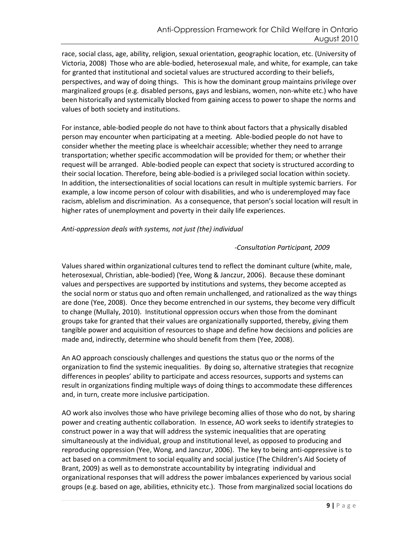race, social class, age, ability, religion, sexual orientation, geographic location, etc. (University of Victoria, 2008) Those who are able-bodied, heterosexual male, and white, for example, can take for granted that institutional and societal values are structured according to their beliefs, perspectives, and way of doing things. This is how the dominant group maintains privilege over marginalized groups (e.g. disabled persons, gays and lesbians, women, non-white etc.) who have been historically and systemically blocked from gaining access to power to shape the norms and values of both society and institutions.

For instance, able-bodied people do not have to think about factors that a physically disabled person may encounter when participating at a meeting. Able-bodied people do not have to consider whether the meeting place is wheelchair accessible; whether they need to arrange transportation; whether specific accommodation will be provided for them; or whether their request will be arranged. Able-bodied people can expect that society is structured according to their social location. Therefore, being able-bodied is a privileged social location within society. In addition, the intersectionalities of social locations can result in multiple systemic barriers. For example, a low income person of colour with disabilities, and who is underemployed may face racism, ablelism and discrimination. As a consequence, that person's social location will result in higher rates of unemployment and poverty in their daily life experiences.

### *Anti-oppression deals with systems, not just (the) individual*

### *-Consultation Participant, 2009*

Values shared within organizational cultures tend to reflect the dominant culture (white, male, heterosexual, Christian, able-bodied) (Yee, Wong & Janczur, 2006). Because these dominant values and perspectives are supported by institutions and systems, they become accepted as the social norm or status quo and often remain unchallenged, and rationalized as the way things are done (Yee, 2008). Once they become entrenched in our systems, they become very difficult to change (Mullaly, 2010). Institutional oppression occurs when those from the dominant groups take for granted that their values are organizationally supported, thereby, giving them tangible power and acquisition of resources to shape and define how decisions and policies are made and, indirectly, determine who should benefit from them (Yee, 2008).

An AO approach consciously challenges and questions the status quo or the norms of the organization to find the systemic inequalities. By doing so, alternative strategies that recognize differences in peoples' ability to participate and access resources, supports and systems can result in organizations finding multiple ways of doing things to accommodate these differences and, in turn, create more inclusive participation.

AO work also involves those who have privilege becoming allies of those who do not, by sharing power and creating authentic collaboration. In essence, AO work seeks to identify strategies to construct power in a way that will address the systemic inequalities that are operating simultaneously at the individual, group and institutional level, as opposed to producing and reproducing oppression (Yee, Wong, and Janczur, 2006). The key to being anti-oppressive is to act based on a commitment to social equality and social justice (The Children's Aid Society of Brant, 2009) as well as to demonstrate accountability by integrating individual and organizational responses that will address the power imbalances experienced by various social groups (e.g. based on age, abilities, ethnicity etc.). Those from marginalized social locations do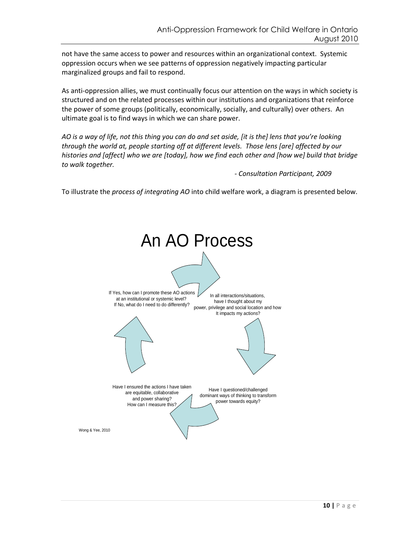not have the same access to power and resources within an organizational context. Systemic oppression occurs when we see patterns of oppression negatively impacting particular marginalized groups and fail to respond.

As anti-oppression allies, we must continually focus our attention on the ways in which society is structured and on the related processes within our institutions and organizations that reinforce the power of some groups (politically, economically, socially, and culturally) over others. An ultimate goal is to find ways in which we can share power.

*AO is a way of life, not this thing you can do and set aside, [it is the] lens that you're looking through the world at, people starting off at different levels. Those lens [are] affected by our histories and [affect] who we are [today], how we find each other and [how we] build that bridge to walk together.*

*- Consultation Participant, 2009*

To illustrate the *process of integrating AO* into child welfare work, a diagram is presented below.

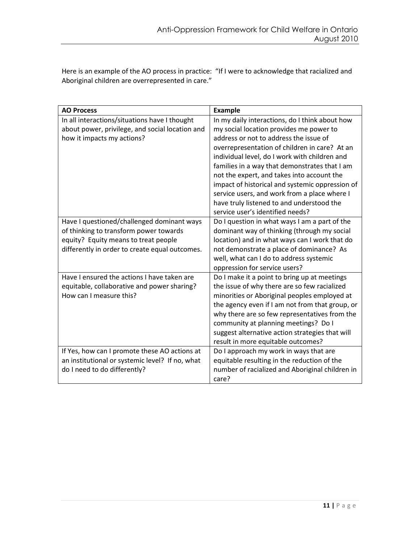Here is an example of the AO process in practice: "If I were to acknowledge that racialized and Aboriginal children are overrepresented in care."

| <b>AO Process</b>                               | <b>Example</b>                                  |
|-------------------------------------------------|-------------------------------------------------|
| In all interactions/situations have I thought   | In my daily interactions, do I think about how  |
| about power, privilege, and social location and | my social location provides me power to         |
| how it impacts my actions?                      | address or not to address the issue of          |
|                                                 | overrepresentation of children in care? At an   |
|                                                 | individual level, do I work with children and   |
|                                                 | families in a way that demonstrates that I am   |
|                                                 | not the expert, and takes into account the      |
|                                                 | impact of historical and systemic oppression of |
|                                                 | service users, and work from a place where I    |
|                                                 | have truly listened to and understood the       |
|                                                 | service user's identified needs?                |
| Have I questioned/challenged dominant ways      | Do I question in what ways I am a part of the   |
| of thinking to transform power towards          | dominant way of thinking (through my social     |
| equity? Equity means to treat people            | location) and in what ways can I work that do   |
| differently in order to create equal outcomes.  | not demonstrate a place of dominance? As        |
|                                                 | well, what can I do to address systemic         |
|                                                 | oppression for service users?                   |
| Have I ensured the actions I have taken are     | Do I make it a point to bring up at meetings    |
| equitable, collaborative and power sharing?     | the issue of why there are so few racialized    |
| How can I measure this?                         | minorities or Aboriginal peoples employed at    |
|                                                 | the agency even if I am not from that group, or |
|                                                 | why there are so few representatives from the   |
|                                                 | community at planning meetings? Do I            |
|                                                 | suggest alternative action strategies that will |
|                                                 | result in more equitable outcomes?              |
| If Yes, how can I promote these AO actions at   | Do I approach my work in ways that are          |
| an institutional or systemic level? If no, what | equitable resulting in the reduction of the     |
| do I need to do differently?                    | number of racialized and Aboriginal children in |
|                                                 | care?                                           |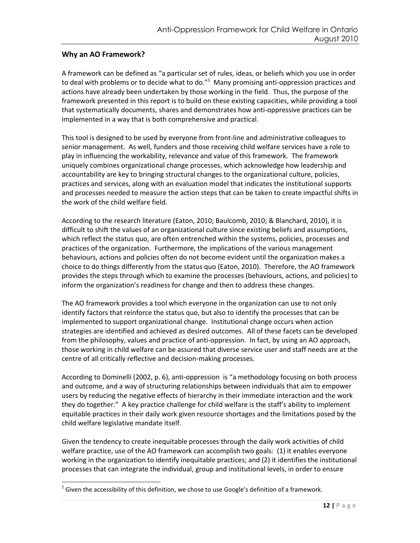### **Why an AO Framework?**

A framework can be defined as "a particular set of rules, ideas, or beliefs which you use in order to deal with problems or to decide what to do."<sup>1</sup> Many promising anti-oppression practices and actions have already been undertaken by those working in the field. Thus, the purpose of the framework presented in this report is to build on these existing capacities, while providing a tool that systematically documents, shares and demonstrates how anti-oppressive practices can be implemented in a way that is both comprehensive and practical.

This tool is designed to be used by everyone from front-line and administrative colleagues to senior management. As well, funders and those receiving child welfare services have a role to play in influencing the workability, relevance and value of this framework. The framework uniquely combines organizational change processes, which acknowledge how leadership and accountability are key to bringing structural changes to the organizational culture, policies, practices and services, along with an evaluation model that indicates the institutional supports and processes needed to measure the action steps that can be taken to create impactful shifts in the work of the child welfare field.

According to the research literature (Eaton, 2010; Baulcomb, 2010; & Blanchard, 2010), it is difficult to shift the values of an organizational culture since existing beliefs and assumptions, which reflect the status quo, are often entrenched within the systems, policies, processes and practices of the organization. Furthermore, the implications of the various management behaviours, actions and policies often do not become evident until the organization makes a choice to do things differently from the status quo (Eaton, 2010). Therefore, the AO framework provides the steps through which to examine the processes (behaviours, actions, and policies) to inform the organization's readiness for change and then to address these changes.

The AO framework provides a tool which everyone in the organization can use to not only identify factors that reinforce the status quo, but also to identify the processes that can be implemented to support organizational change. Institutional change occurs when action strategies are identified and achieved as desired outcomes. All of these facets can be developed from the philosophy, values and practice of anti-oppression. In fact, by using an AO approach, those working in child welfare can be assured that diverse service user and staff needs are at the centre of all critically reflective and decision-making processes.

According to Dominelli (2002, p. 6), anti-oppression is "a methodology focusing on both process and outcome, and a way of structuring relationships between individuals that aim to empower users by reducing the negative effects of hierarchy in their immediate interaction and the work they do together." A key practice challenge for child welfare is the staff's ability to implement equitable practices in their daily work given resource shortages and the limitations posed by the child welfare legislative mandate itself.

Given the tendency to create inequitable processes through the daily work activities of child welfare practice, use of the AO framework can accomplish two goals: (1) it enables everyone working in the organization to identify inequitable practices; and (2) it identifies the institutional processes that can integrate the individual, group and institutional levels, in order to ensure

 $^1$  Given the accessibility of this definition, we chose to use Google's definition of a framework.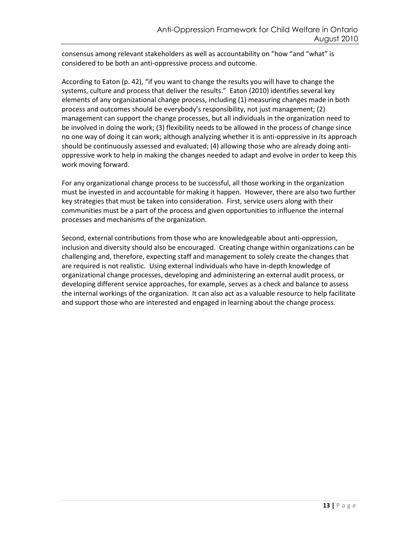consensus among relevant stakeholders as well as accountability on "how "and "what" is considered to be both an anti-oppressive process and outcome.

According to Eaton (p. 42), "if you want to change the results you will have to change the systems, culture and process that deliver the results." Eaton (2010) identifies several key elements of any organizational change process, including (1) measuring changes made in both process and outcomes should be everybody's responsibility, not just management; (2) management can support the change processes, but all individuals in the organization need to be involved in doing the work; (3) flexibility needs to be allowed in the process of change since no one way of doing it can work; although analyzing whether it is anti-oppressive in its approach should be continuously assessed and evaluated; (4) allowing those who are already doing antioppressive work to help in making the changes needed to adapt and evolve in order to keep this work moving forward.

For any organizational change process to be successful, all those working in the organization must be invested in and accountable for making it happen. However, there are also two further key strategies that must be taken into consideration. First, service users along with their communities must be a part of the process and given opportunities to influence the internal processes and mechanisms of the organization.

Second, external contributions from those who are knowledgeable about anti-oppression, inclusion and diversity should also be encouraged. Creating change within organizations can be challenging and, therefore, expecting staff and management to solely create the changes that are required is not realistic. Using external individuals who have in-depth knowledge of organizational change processes, developing and administering an external audit process, or developing different service approaches, for example, serves as a check and balance to assess the internal workings of the organization. It can also act as a valuable resource to help facilitate and support those who are interested and engaged in learning about the change process.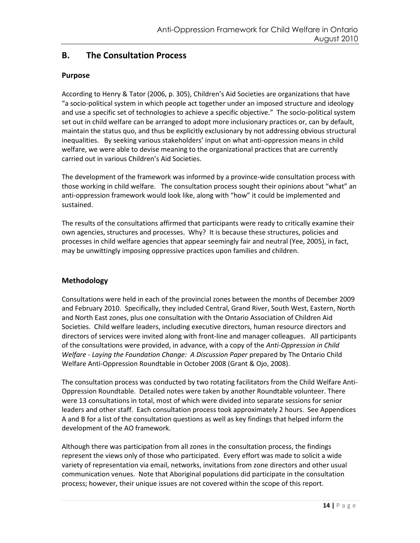# **B. The Consultation Process**

### **Purpose**

According to Henry & Tator (2006, p. 305), Children's Aid Societies are organizations that have "a socio-political system in which people act together under an imposed structure and ideology and use a specific set of technologies to achieve a specific objective." The socio-political system set out in child welfare can be arranged to adopt more inclusionary practices or, can by default, maintain the status quo, and thus be explicitly exclusionary by not addressing obvious structural inequalities. By seeking various stakeholders' input on what anti-oppression means in child welfare, we were able to devise meaning to the organizational practices that are currently carried out in various Children's Aid Societies.

The development of the framework was informed by a province-wide consultation process with those working in child welfare. The consultation process sought their opinions about "what" an anti-oppression framework would look like, along with "how" it could be implemented and sustained.

The results of the consultations affirmed that participants were ready to critically examine their own agencies, structures and processes. Why? It is because these structures, policies and processes in child welfare agencies that appear seemingly fair and neutral (Yee, 2005), in fact, may be unwittingly imposing oppressive practices upon families and children.

### **Methodology**

Consultations were held in each of the provincial zones between the months of December 2009 and February 2010. Specifically, they included Central, Grand River, South West, Eastern, North and North East zones, plus one consultation with the Ontario Association of Children Aid Societies. Child welfare leaders, including executive directors, human resource directors and directors of services were invited along with front-line and manager colleagues. All participants of the consultations were provided, in advance, with a copy of the *Anti-Oppression in Child Welfare - Laying the Foundation Change: A Discussion Paper* prepared by The Ontario Child Welfare Anti-Oppression Roundtable in October 2008 (Grant & Ojo, 2008).

The consultation process was conducted by two rotating facilitators from the Child Welfare Anti-Oppression Roundtable. Detailed notes were taken by another Roundtable volunteer. There were 13 consultations in total, most of which were divided into separate sessions for senior leaders and other staff. Each consultation process took approximately 2 hours. See Appendices A and B for a list of the consultation questions as well as key findings that helped inform the development of the AO framework.

Although there was participation from all zones in the consultation process, the findings represent the views only of those who participated. Every effort was made to solicit a wide variety of representation via email, networks, invitations from zone directors and other usual communication venues. Note that Aboriginal populations did participate in the consultation process; however, their unique issues are not covered within the scope of this report.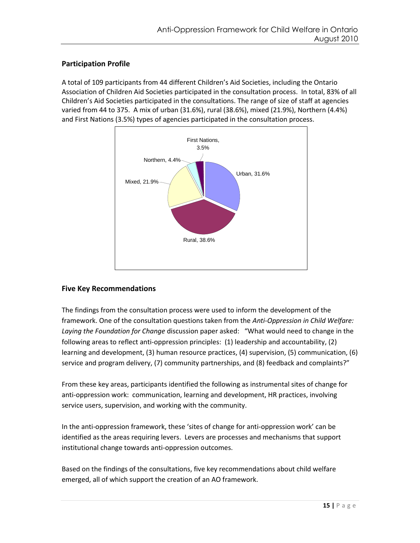# **Participation Profile**

A total of 109 participants from 44 different Children's Aid Societies, including the Ontario Association of Children Aid Societies participated in the consultation process. In total, 83% of all Children's Aid Societies participated in the consultations. The range of size of staff at agencies varied from 44 to 375. A mix of urban (31.6%), rural (38.6%), mixed (21.9%), Northern (4.4%) and First Nations (3.5%) types of agencies participated in the consultation process.



# **Five Key Recommendations**

The findings from the consultation process were used to inform the development of the framework. One of the consultation questions taken from the *Anti-Oppression in Child Welfare: Laying the Foundation for Change* discussion paper asked: "What would need to change in the following areas to reflect anti-oppression principles: (1) leadership and accountability, (2) learning and development, (3) human resource practices, (4) supervision, (5) communication, (6) service and program delivery, (7) community partnerships, and (8) feedback and complaints?"

From these key areas, participants identified the following as instrumental sites of change for anti-oppression work: communication, learning and development, HR practices, involving service users, supervision, and working with the community.

In the anti-oppression framework, these 'sites of change for anti-oppression work' can be identified as the areas requiring levers. Levers are processes and mechanisms that support institutional change towards anti-oppression outcomes.

Based on the findings of the consultations, five key recommendations about child welfare emerged, all of which support the creation of an AO framework.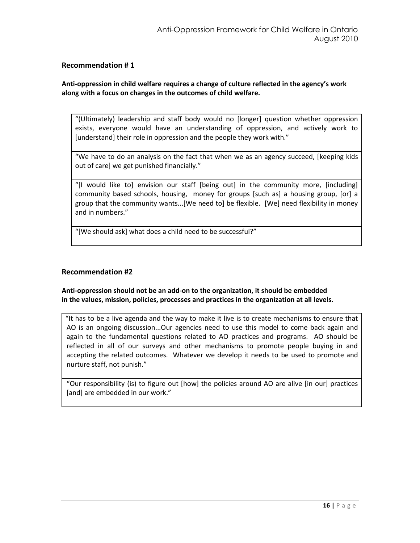### **Recommendation # 1**

### **Anti-oppression in child welfare requires a change of culture reflected in the agency's work along with a focus on changes in the outcomes of child welfare.**

"(Ultimately) leadership and staff body would no [longer] question whether oppression exists, everyone would have an understanding of oppression, and actively work to [understand] their role in oppression and the people they work with."

"We have to do an analysis on the fact that when we as an agency succeed, [keeping kids out of care] we get punished financially."

"[I would like to] envision our staff [being out] in the community more, [including] community based schools, housing, money for groups [such as] a housing group, [or] a group that the community wants...[We need to] be flexible. [We] need flexibility in money and in numbers."

"[We should ask] what does a child need to be successful?"

### **Recommendation #2**

**Anti-oppression should not be an add-on to the organization, it should be embedded in the values, mission, policies, processes and practices in the organization at all levels.**

"It has to be a live agenda and the way to make it live is to create mechanisms to ensure that AO is an ongoing discussion...Our agencies need to use this model to come back again and again to the fundamental questions related to AO practices and programs. AO should be reflected in all of our surveys and other mechanisms to promote people buying in and accepting the related outcomes. Whatever we develop it needs to be used to promote and nurture staff, not punish."

"Our responsibility (is) to figure out  $[how]$  the policies around AO are alive  $[in our]$  practices [and] are embedded in our work."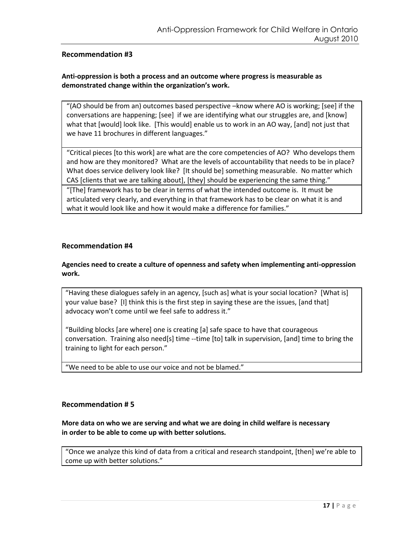### **Recommendation #3**

### **Anti-oppression is both a process and an outcome where progress is measurable as demonstrated change within the organization's work.**

"(AO should be from an) outcomes based perspective –know where AO is working; [see] if the conversations are happening; [see] if we are identifying what our struggles are, and [know] what that [would] look like. [This would] enable us to work in an AO way, [and] not just that we have 11 brochures in different languages."

"Critical pieces [to this work] are what are the core competencies of AO? Who develops them and how are they monitored? What are the levels of accountability that needs to be in place? What does service delivery look like? [It should be] something measurable. No matter which CAS [clients that we are talking about], [they] should be experiencing the same thing."

"[The] framework has to be clear in terms of what the intended outcome is. It must be articulated very clearly, and everything in that framework has to be clear on what it is and what it would look like and how it would make a difference for families."

#### **Recommendation #4**

### **Agencies need to create a culture of openness and safety when implementing anti-oppression work.**

"Having these dialogues safely in an agency, [such as] what is your social location? [What is] your value base? [I] think this is the first step in saying these are the issues, [and that] advocacy won't come until we feel safe to address it."

"Building blocks [are where] one is creating [a] safe space to have that courageous conversation. Training also need[s] time --time [to] talk in supervision, [and] time to bring the training to light for each person."

"We need to be able to use our voice and not be blamed."

#### **Recommendation # 5**

**More data on who we are serving and what we are doing in child welfare is necessary in order to be able to come up with better solutions.**

"Once we analyze this kind of data from a critical and research standpoint, [then] we're able to come up with better solutions."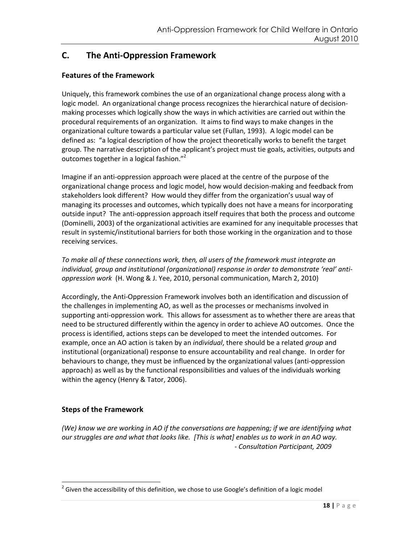# **C. The Anti-Oppression Framework**

### **Features of the Framework**

Uniquely, this framework combines the use of an organizational change process along with a logic model. An organizational change process recognizes the hierarchical nature of decisionmaking processes which logically show the ways in which activities are carried out within the procedural requirements of an organization. It aims to find ways to make changes in the organizational culture towards a particular value set (Fullan, 1993). A logic model can be defined as: "a logical description of how the project theoretically works to benefit the target group. The narrative description of the applicant's project must tie goals, activities, outputs and outcomes together in a logical fashion."<sup>2</sup>

Imagine if an anti-oppression approach were placed at the centre of the purpose of the organizational change process and logic model, how would decision-making and feedback from stakeholders look different? How would they differ from the organization's usual way of managing its processes and outcomes, which typically does not have a means for incorporating outside input? The anti-oppression approach itself requires that both the process and outcome (Dominelli, 2003) of the organizational activities are examined for any inequitable processes that result in systemic/institutional barriers for both those working in the organization and to those receiving services.

*To make all of these connections work, then, all users of the framework must integrate an*  individual, group and institutional (organizational) response in order to demonstrate 'real' anti*oppression work* (H. Wong & J. Yee, 2010, personal communication, March 2, 2010)

Accordingly, the Anti-Oppression Framework involves both an identification and discussion of the challenges in implementing AO, as well as the processes or mechanisms involved in supporting anti-oppression work. This allows for assessment as to whether there are areas that need to be structured differently within the agency in order to achieve AO outcomes. Once the process is identified, actions steps can be developed to meet the intended outcomes. For example, once an AO action is taken by an *individual*, there should be a related *group* and institutional (organizational) response to ensure accountability and real change. In order for behaviours to change, they must be influenced by the organizational values (anti-oppression approach) as well as by the functional responsibilities and values of the individuals working within the agency (Henry & Tator, 2006).

### **Steps of the Framework**

*(We) know we are working in AO if the conversations are happening; if we are identifying what our struggles are and what that looks like. [This is what] enables us to work in an AO way. - Consultation Participant, 2009*

  $^{2}$  Given the accessibility of this definition, we chose to use Google's definition of a logic model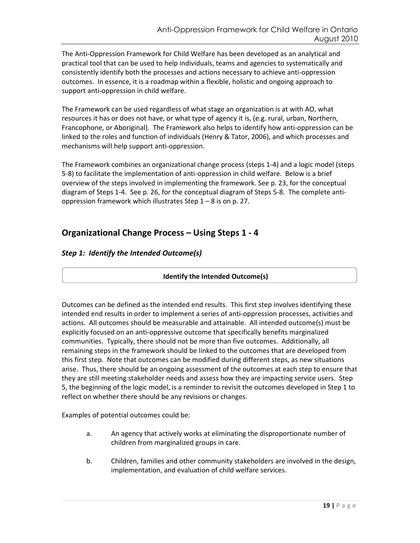The Anti-Oppression Framework for Child Welfare has been developed as an analytical and practical tool that can be used to help individuals, teams and agencies to systematically and consistently identify both the processes and actions necessary to achieve anti-oppression outcomes. In essence, it is a roadmap within a flexible, holistic and ongoing approach to support anti-oppression in child welfare.

The Framework can be used regardless of what stage an organization is at with AO, what resources it has or does not have, or what type of agency it is, (e.g. rural, urban, Northern, Francophone, or Aboriginal). The Framework also helps to identify how anti-oppression can be linked to the roles and function of individuals (Henry & Tator, 2006), and which processes and mechanisms will help support anti-oppression.

The Framework combines an organizational change process (steps 1-4) and a logic model (steps 5-8) to facilitate the implementation of anti-oppression in child welfare. Below is a brief overview of the steps involved in implementing the framework. See p. 23, for the conceptual diagram of Steps 1-4. See p. 26, for the conceptual diagram of Steps 5-8. The complete antioppression framework which illustrates Step 1 – 8 is on p. 27.

# **Organizational Change Process – Using Steps 1 - 4**

### *Step 1: Identify the Intended Outcome(s)*

### **Identify the Intended Outcome(s)**

Outcomes can be defined as the intended end results. This first step involves identifying these intended end results in order to implement a series of anti-oppression processes, activities and actions. All outcomes should be measurable and attainable. All intended outcome(s) must be explicitly focused on an anti-oppressive outcome that specifically benefits marginalized communities. Typically, there should not be more than five outcomes. Additionally, all remaining steps in the framework should be linked to the outcomes that are developed from this first step. Note that outcomes can be modified during different steps, as new situations arise. Thus, there should be an ongoing assessment of the outcomes at each step to ensure that they are still meeting stakeholder needs and assess how they are impacting service users. Step 5, the beginning of the logic model, is a reminder to revisit the outcomes developed in Step 1 to reflect on whether there should be any revisions or changes.

Examples of potential outcomes could be:

- a. An agency that actively works at eliminating the disproportionate number of children from marginalized groups in care.
- b. Children, families and other community stakeholders are involved in the design, implementation, and evaluation of child welfare services.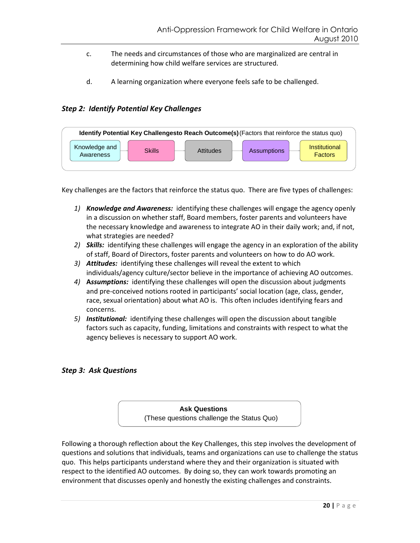- c. The needs and circumstances of those who are marginalized are central in determining how child welfare services are structured.
- d. A learning organization where everyone feels safe to be challenged.

### *Step 2: Identify Potential Key Challenges*



Key challenges are the factors that reinforce the status quo. There are five types of challenges:

- *1) Knowledge and Awareness:* identifying these challenges will engage the agency openly in a discussion on whether staff, Board members, foster parents and volunteers have the necessary knowledge and awareness to integrate AO in their daily work; and, if not, what strategies are needed?
- *2) Skills:* identifying these challenges will engage the agency in an exploration of the ability of staff, Board of Directors, foster parents and volunteers on how to do AO work.
- *3) Attitudes:* identifying these challenges will reveal the extent to which individuals/agency culture/sector believe in the importance of achieving AO outcomes.
- *4)* **A***ssumptions:* identifying these challenges will open the discussion about judgments and pre-conceived notions rooted in participants' social location (age, class, gender, race, sexual orientation) about what AO is. This often includes identifying fears and concerns.
- *5) Institutional:* identifying these challenges will open the discussion about tangible factors such as capacity, funding, limitations and constraints with respect to what the agency believes is necessary to support AO work.

### *Step 3: Ask Questions*



Following a thorough reflection about the Key Challenges, this step involves the development of questions and solutions that individuals, teams and organizations can use to challenge the status quo. This helps participants understand where they and their organization is situated with respect to the identified AO outcomes. By doing so, they can work towards promoting an environment that discusses openly and honestly the existing challenges and constraints.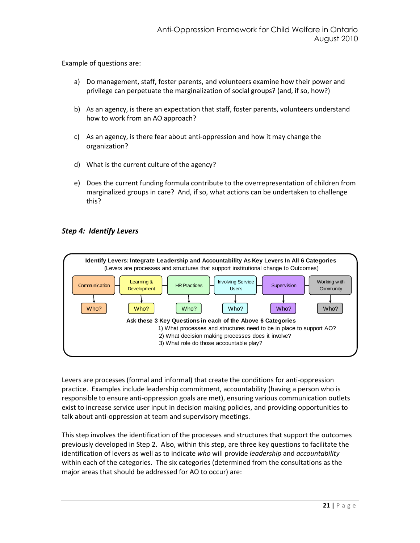Example of questions are:

- a) Do management, staff, foster parents, and volunteers examine how their power and privilege can perpetuate the marginalization of social groups? (and, if so, how?)
- b) As an agency, is there an expectation that staff, foster parents, volunteers understand how to work from an AO approach?
- c) As an agency, is there fear about anti-oppression and how it may change the organization?
- d) What is the current culture of the agency?
- e) Does the current funding formula contribute to the overrepresentation of children from marginalized groups in care? And, if so, what actions can be undertaken to challenge this?

### *Step 4: Identify Levers*



Levers are processes (formal and informal) that create the conditions for anti-oppression practice. Examples include leadership commitment, accountability (having a person who is responsible to ensure anti-oppression goals are met), ensuring various communication outlets exist to increase service user input in decision making policies, and providing opportunities to talk about anti-oppression at team and supervisory meetings.

This step involves the identification of the processes and structures that support the outcomes previously developed in Step 2. Also, within this step, are three key questions to facilitate the identification of levers as well as to indicate *who* will provide *leadership* and *accountability* within each of the categories. The six categories (determined from the consultations as the major areas that should be addressed for AO to occur) are: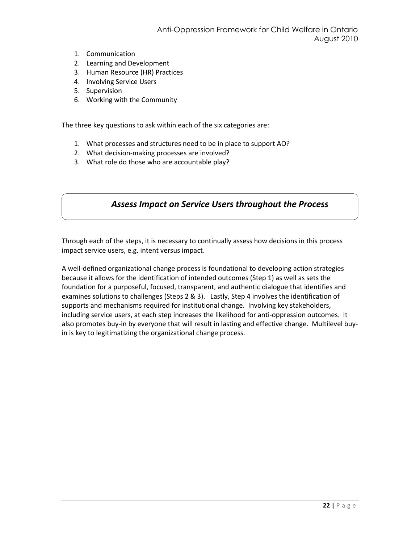- 1. Communication
- 2. Learning and Development
- 3. Human Resource (HR) Practices
- 4. Involving Service Users
- 5. Supervision
- 6. Working with the Community

The three key questions to ask within each of the six categories are:

- 1. What processes and structures need to be in place to support AO?
- 2. What decision-making processes are involved?
- 3. What role do those who are accountable play?

# *Assess Impact on Service Users throughout the Process*

Through each of the steps, it is necessary to continually assess how decisions in this process impact service users, e.g. intent versus impact.

A well-defined organizational change process is foundational to developing action strategies because it allows for the identification of intended outcomes (Step 1) as well as sets the foundation for a purposeful, focused, transparent, and authentic dialogue that identifies and examines solutions to challenges (Steps 2 & 3). Lastly, Step 4 involves the identification of supports and mechanisms required for institutional change. Involving key stakeholders, including service users, at each step increases the likelihood for anti-oppression outcomes. It also promotes buy-in by everyone that will result in lasting and effective change. Multilevel buyin is key to legitimatizing the organizational change process.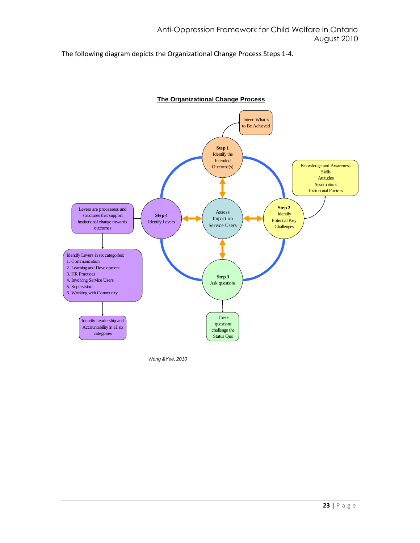The following diagram depicts the Organizational Change Process Steps 1-4*.*



*Wong &Yee, 2010*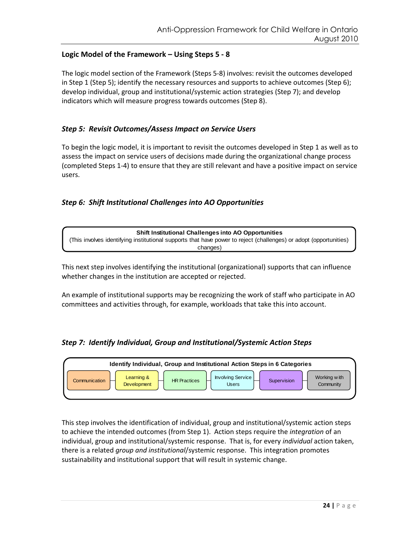### **Logic Model of the Framework – Using Steps 5 - 8**

The logic model section of the Framework (Steps 5-8) involves: revisit the outcomes developed in Step 1 (Step 5); identify the necessary resources and supports to achieve outcomes (Step 6); develop individual, group and institutional/systemic action strategies (Step 7); and develop indicators which will measure progress towards outcomes (Step 8).

### *Step 5: Revisit Outcomes/Assess Impact on Service Users*

To begin the logic model, it is important to revisit the outcomes developed in Step 1 as well as to assess the impact on service users of decisions made during the organizational change process (completed Steps 1-4) to ensure that they are still relevant and have a positive impact on service users.

### *Step 6: Shift Institutional Challenges into AO Opportunities*

| <b>Shift Institutional Challenges into AO Opportunities</b>                                                       |
|-------------------------------------------------------------------------------------------------------------------|
| (This involves identifying institutional supports that have power to reject (challenges) or adopt (opportunities) |
| changes)                                                                                                          |

This next step involves identifying the institutional (organizational) supports that can influence whether changes in the institution are accepted or rejected.

An example of institutional supports may be recognizing the work of staff who participate in AO committees and activities through, for example, workloads that take this into account.

### *Step 7: Identify Individual, Group and Institutional/Systemic Action Steps*



This step involves the identification of individual, group and institutional/systemic action steps to achieve the intended outcomes (from Step 1). Action steps require the *integration* of an individual, group and institutional/systemic response. That is, for every *individual* action taken, there is a related *group and institutional*/systemic response. This integration promotes sustainability and institutional support that will result in systemic change.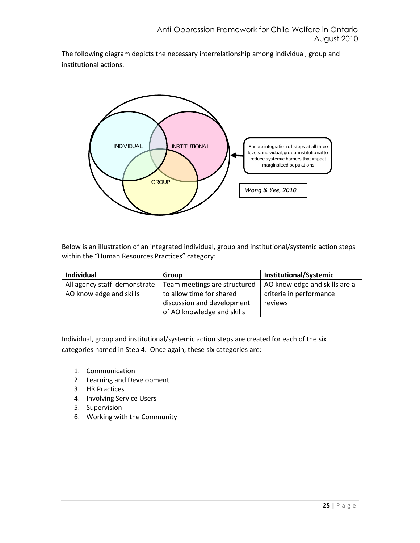The following diagram depicts the necessary interrelationship among individual, group and institutional actions.



Below is an illustration of an integrated individual, group and institutional/systemic action steps within the "Human Resources Practices" category:

| Individual                   | Group                        | <b>Institutional/Systemic</b> |  |
|------------------------------|------------------------------|-------------------------------|--|
| All agency staff demonstrate | Team meetings are structured | AO knowledge and skills are a |  |
| AO knowledge and skills      | to allow time for shared     | criteria in performance       |  |
|                              | discussion and development   | reviews                       |  |
|                              | of AO knowledge and skills   |                               |  |

Individual, group and institutional/systemic action steps are created for each of the six categories named in Step 4. Once again, these six categories are:

- 1. Communication
- 2. Learning and Development
- 3. HR Practices
- 4. Involving Service Users
- 5. Supervision
- 6. Working with the Community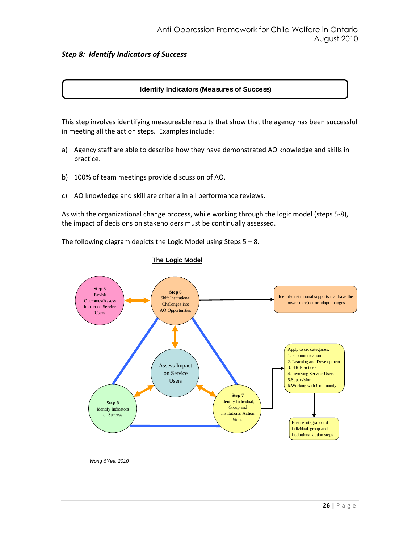### *Step 8: Identify Indicators of Success*

#### **Identify Indicators (Measures of Success)**

This step involves identifying measureable results that show that the agency has been successful in meeting all the action steps. Examples include:

- a) Agency staff are able to describe how they have demonstrated AO knowledge and skills in practice.
- b) 100% of team meetings provide discussion of AO.
- c) AO knowledge and skill are criteria in all performance reviews.

As with the organizational change process, while working through the logic model (steps 5-8), the impact of decisions on stakeholders must be continually assessed.

The following diagram depicts the Logic Model using Steps  $5 - 8$ .



### **The Logic Model**

*Wong &Yee, 2010*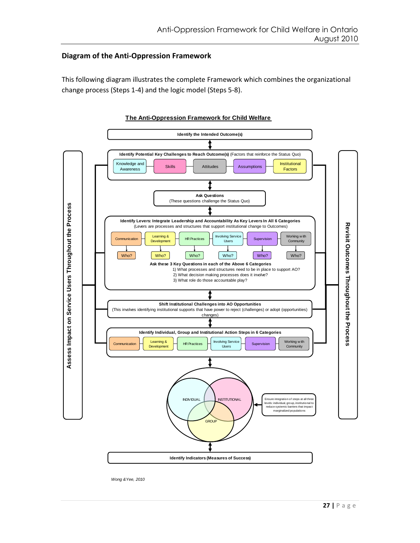### **Diagram of the Anti-Oppression Framework**

This following diagram illustrates the complete Framework which combines the organizational change process (Steps 1-4) and the logic model (Steps 5-8).



#### **The Anti-Oppression Framework for Child Welfare**

*Wong &Yee, 2010*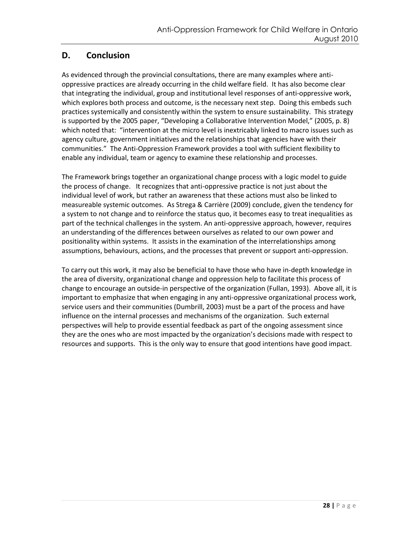# **D. Conclusion**

As evidenced through the provincial consultations, there are many examples where antioppressive practices are already occurring in the child welfare field. It has also become clear that integrating the individual, group and institutional level responses of anti-oppressive work, which explores both process and outcome, is the necessary next step. Doing this embeds such practices systemically and consistently within the system to ensure sustainability. This strategy is supported by the 2005 paper, "Developing a Collaborative Intervention Model," (2005, p. 8) which noted that: "intervention at the micro level is inextricably linked to macro issues such as agency culture, government initiatives and the relationships that agencies have with their communities." The Anti-Oppression Framework provides a tool with sufficient flexibility to enable any individual, team or agency to examine these relationship and processes.

The Framework brings together an organizational change process with a logic model to guide the process of change. It recognizes that anti-oppressive practice is not just about the individual level of work, but rather an awareness that these actions must also be linked to measureable systemic outcomes. As Strega & Carrière (2009) conclude, given the tendency for a system to not change and to reinforce the status quo, it becomes easy to treat inequalities as part of the technical challenges in the system. An anti-oppressive approach, however, requires an understanding of the differences between ourselves as related to our own power and positionality within systems. It assists in the examination of the interrelationships among assumptions, behaviours, actions, and the processes that prevent or support anti-oppression.

To carry out this work, it may also be beneficial to have those who have in-depth knowledge in the area of diversity, organizational change and oppression help to facilitate this process of change to encourage an outside-in perspective of the organization (Fullan, 1993). Above all, it is important to emphasize that when engaging in any anti-oppressive organizational process work, service users and their communities (Dumbrill, 2003) must be a part of the process and have influence on the internal processes and mechanisms of the organization. Such external perspectives will help to provide essential feedback as part of the ongoing assessment since they are the ones who are most impacted by the organization's decisions made with respect to resources and supports. This is the only way to ensure that good intentions have good impact.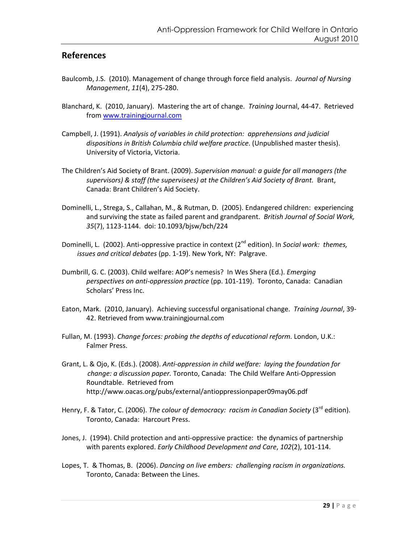# **References**

- Baulcomb, J.S. (2010). Management of change through force field analysis. *Journal of Nursing Management*, *11*(4), 275-280.
- Blanchard, K. (2010, January). Mastering the art of change. *Training* Journal, 44-47. Retrieved from [www.trainingjournal.com](http://www.trainingjournal.com/)
- Campbell, J. (1991). *Analysis of variables in child protection: apprehensions and judicial dispositions in British Columbia child welfare practice*. (Unpublished master thesis). University of Victoria, Victoria.
- The Children's Aid Society of Brant. (2009). *Supervision manual: a guide for all managers (the supervisors) & staff (the supervisees) at the Children's Aid Society of Brant.* Brant, Canada: Brant Children's Aid Society.
- Dominelli, L., Strega, S., Callahan, M., & Rutman, D. (2005). Endangered children: experiencing and surviving the state as failed parent and grandparent. *British Journal of Social Work, 35*(7), 1123-1144. doi: 10.1093/bjsw/bch/224
- Dominelli, L. (2002). Anti-oppressive practice in context (2<sup>nd</sup> edition). In *Social work: themes. issues and critical debates* (pp. 1-19). New York, NY: Palgrave.
- Dumbrill, G. C. (2003). Child welfare: AOP's nemesis? In Wes Shera (Ed.). *Emerging perspectives on anti-oppression practice* (pp. 101-119). Toronto, Canada: Canadian Scholars' Press Inc.
- Eaton, Mark. (2010, January). Achieving successful organisational change. *Training Journal*, 39- 42. Retrieved from www.trainingjournal.com
- Fullan, M. (1993). *Change forces: probing the depths of educational reform.* London, U.K.: Falmer Press.
- Grant, L. & Ojo, K. (Eds.). (2008). *Anti-oppression in child welfare: laying the foundation for change: a discussion paper.* Toronto, Canada: The Child Welfare Anti-Oppression Roundtable. Retrieved from http://www.oacas.org/pubs/external/antioppressionpaper09may06.pdf
- Henry, F. & Tator, C. (2006). *The colour of democracy: racism in Canadian Society* (3<sup>rd</sup> edition). Toronto, Canada: Harcourt Press.
- Jones, J. (1994). Child protection and anti-oppressive practice: the dynamics of partnership with parents explored. *Early Childhood Development and Care*, *102*(2), 101-114.
- Lopes, T. & Thomas, B. (2006). *Dancing on live embers: challenging racism in organizations.* Toronto, Canada: Between the Lines.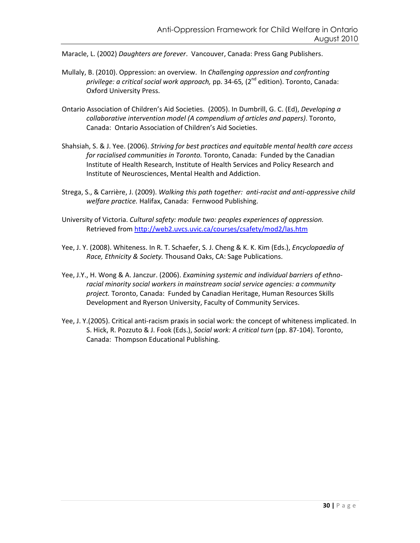Maracle, L. (2002) *Daughters are forever*. Vancouver, Canada: Press Gang Publishers.

- Mullaly, B. (2010). Oppression: an overview. In *Challenging oppression and confronting*  privilege: a critical social work approach, pp. 34-65, (2<sup>nd</sup> edition). Toronto, Canada: Oxford University Press.
- Ontario Association of Children's Aid Societies. (2005). In Dumbrill, G. C. (Ed), *Developing a collaborative intervention model (A compendium of articles and papers)*. Toronto, Canada: Ontario Association of Children's Aid Societies.
- Shahsiah, S. & J. Yee. (2006). *Striving for best practices and equitable mental health care access for racialised communities in Toronto.* Toronto, Canada: Funded by the Canadian Institute of Health Research, Institute of Health Services and Policy Research and Institute of Neurosciences, Mental Health and Addiction.
- Strega, S., & Carrière, J. (2009). *Walking this path together: anti-racist and anti-oppressive child welfare practice.* Halifax, Canada: Fernwood Publishing.
- University of Victoria. *Cultural safety: module two: peoples experiences of oppression.* Retrieved from<http://web2.uvcs.uvic.ca/courses/csafety/mod2/las.htm>
- Yee, J. Y. (2008). Whiteness. In R. T. Schaefer, S. J. Cheng & K. K. Kim (Eds.), *Encyclopaedia of Race, Ethnicity & Society.* Thousand Oaks, CA: Sage Publications.
- Yee, J.Y., H. Wong & A. Janczur. (2006). *Examining systemic and individual barriers of ethnoracial minority social workers in mainstream social service agencies: a community project.* Toronto, Canada: Funded by Canadian Heritage, Human Resources Skills Development and Ryerson University, Faculty of Community Services.
- Yee, J. Y.(2005). Critical anti-racism praxis in social work: the concept of whiteness implicated. In S. Hick, R. Pozzuto & J. Fook (Eds.), *Social work: A critical turn* (pp. 87-104). Toronto, Canada: Thompson Educational Publishing.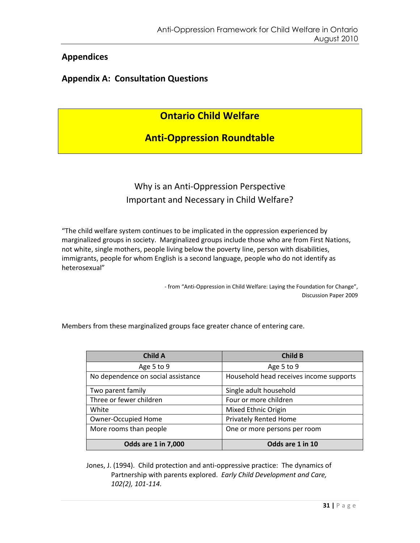# **Appendices**

# **Appendix A: Consultation Questions**

# **Ontario Child Welfare**

# **Anti-Oppression Roundtable**

# Why is an Anti-Oppression Perspective Important and Necessary in Child Welfare?

"The child welfare system continues to be implicated in the oppression experienced by marginalized groups in society. Marginalized groups include those who are from First Nations, not white, single mothers, people living below the poverty line, person with disabilities, immigrants, people for whom English is a second language, people who do not identify as heterosexual"

> - from "Anti-Oppression in Child Welfare: Laying the Foundation for Change", Discussion Paper 2009

Members from these marginalized groups face greater chance of entering care.

| <b>Child A</b>                     | <b>Child B</b>                          |
|------------------------------------|-----------------------------------------|
| Age 5 to 9                         | Age 5 to 9                              |
| No dependence on social assistance | Household head receives income supports |
| Two parent family                  | Single adult household                  |
| Three or fewer children            | Four or more children                   |
| White                              | Mixed Ethnic Origin                     |
| <b>Owner-Occupied Home</b>         | <b>Privately Rented Home</b>            |
| More rooms than people             | One or more persons per room            |
| <b>Odds are 1 in 7,000</b>         | Odds are 1 in 10                        |

Jones, J. (1994). Child protection and anti-oppressive practice: The dynamics of Partnership with parents explored. *Early Child Development and Care, 102(2), 101-114.*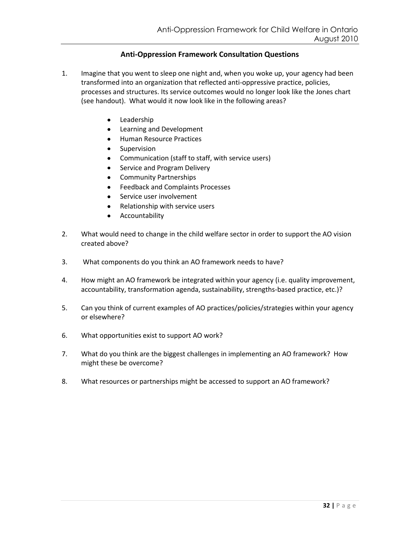### **Anti-Oppression Framework Consultation Questions**

- 1. Imagine that you went to sleep one night and, when you woke up, your agency had been transformed into an organization that reflected anti-oppressive practice, policies, processes and structures. Its service outcomes would no longer look like the Jones chart (see handout). What would it now look like in the following areas?
	- Leadership
	- Learning and Development
	- Human Resource Practices
	- Supervision
	- Communication (staff to staff, with service users)
	- Service and Program Delivery
	- Community Partnerships
	- Feedback and Complaints Processes
	- Service user involvement
	- Relationship with service users
	- Accountability
- 2. What would need to change in the child welfare sector in order to support the AO vision created above?
- 3. What components do you think an AO framework needs to have?
- 4. How might an AO framework be integrated within your agency (i.e. quality improvement, accountability, transformation agenda, sustainability, strengths-based practice, etc.)?
- 5. Can you think of current examples of AO practices/policies/strategies within your agency or elsewhere?
- 6. What opportunities exist to support AO work?
- 7. What do you think are the biggest challenges in implementing an AO framework? How might these be overcome?
- 8. What resources or partnerships might be accessed to support an AO framework?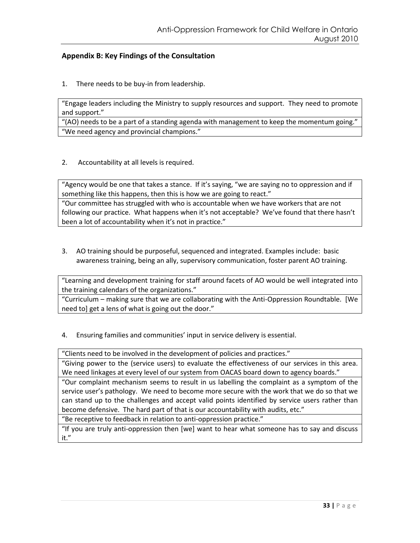### **Appendix B: Key Findings of the Consultation**

1. There needs to be buy-in from leadership.

"Engage leaders including the Ministry to supply resources and support. They need to promote and support."

"(AO) needs to be a part of a standing agenda with management to keep the momentum going." "We need agency and provincial champions."

2. Accountability at all levels is required.

"Agency would be one that takes a stance. If it's saying, "we are saying no to oppression and if something like this happens, then this is how we are going to react."

"Our committee has struggled with who is accountable when we have workers that are not following our practice. What happens when it's not acceptable? We've found that there hasn't been a lot of accountability when it's not in practice."

3. AO training should be purposeful, sequenced and integrated. Examples include: basic awareness training, being an ally, supervisory communication, foster parent AO training.

"Learning and development training for staff around facets of AO would be well integrated into the training calendars of the organizations."

"Curriculum – making sure that we are collaborating with the Anti-Oppression Roundtable. [We need to] get a lens of what is going out the door."

4. Ensuring families and communities' input in service delivery is essential.

"Clients need to be involved in the development of policies and practices."

"Giving power to the (service users) to evaluate the effectiveness of our services in this area. We need linkages at every level of our system from OACAS board down to agency boards."

"Our complaint mechanism seems to result in us labelling the complaint as a symptom of the service user's pathology. We need to become more secure with the work that we do so that we can stand up to the challenges and accept valid points identified by service users rather than become defensive. The hard part of that is our accountability with audits, etc."

"Be receptive to feedback in relation to anti-oppression practice."

"If you are truly anti-oppression then [we] want to hear what someone has to say and discuss it."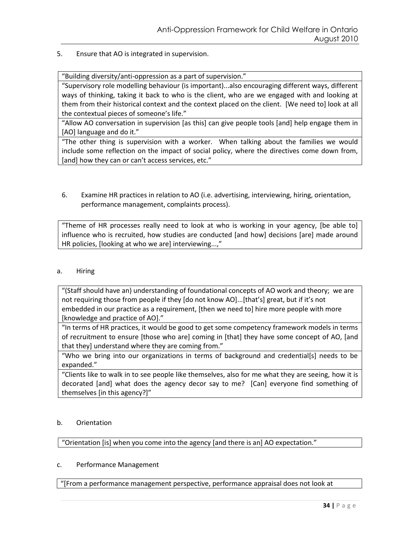### 5. Ensure that AO is integrated in supervision.

"Building diversity/anti-oppression as a part of supervision."

"Supervisory role modelling behaviour (is important)...also encouraging different ways, different ways of thinking, taking it back to who is the client, who are we engaged with and looking at them from their historical context and the context placed on the client. [We need to] look at all the contextual pieces of someone's life."

"Allow AO conversation in supervision [as this] can give people tools [and] help engage them in [AO] language and do it."

"The other thing is supervision with a worker. When talking about the families we would include some reflection on the impact of social policy, where the directives come down from, [and] how they can or can't access services, etc."

6. Examine HR practices in relation to AO (i.e. advertising, interviewing, hiring, orientation, performance management, complaints process).

"Theme of HR processes really need to look at who is working in your agency, [be able to] influence who is recruited, how studies are conducted [and how] decisions [are] made around HR policies, [looking at who we are] interviewing...,"

### a. Hiring

"(Staff should have an) understanding of foundational concepts of AO work and theory; we are not requiring those from people if they [do not know AO]...[that's] great, but if it's not embedded in our practice as a requirement, [then we need to] hire more people with more [knowledge and practice of AO]."

"In terms of HR practices, it would be good to get some competency framework models in terms of recruitment to ensure [those who are] coming in [that] they have some concept of AO, [and that they] understand where they are coming from."

"Who we bring into our organizations in terms of background and credential[s] needs to be expanded."

"Clients like to walk in to see people like themselves, also for me what they are seeing, how it is decorated [and] what does the agency decor say to me? [Can] everyone find something of themselves  $[$ in this agency?]"

### b. Orientation

"Orientation [is] when you come into the agency [and there is an] AO expectation."

#### c. Performance Management

"\*From a performance management perspective, performance appraisal does not look at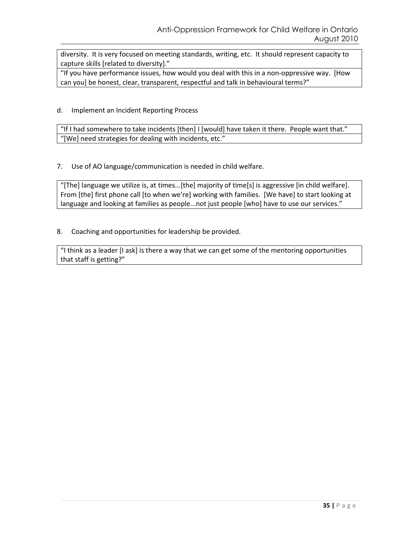diversity. It is very focused on meeting standards, writing, etc. It should represent capacity to capture skills [related to diversity]."

"If you have performance issues, how would you deal with this in a non-oppressive way. [How can you] be honest, clear, transparent, respectful and talk in behavioural terms?"

### d. Implement an Incident Reporting Process

"If I had somewhere to take incidents [then] I [would] have taken it there. People want that." "[We] need strategies for dealing with incidents, etc."

7. Use of AO language/communication is needed in child welfare.

"[The] language we utilize is, at times...[the] majority of time[s] is aggressive [in child welfare]. From [the] first phone call [to when we're] working with families. [We have] to start looking at language and looking at families as people...not just people [who] have to use our services."

8. Coaching and opportunities for leadership be provided.

"I think as a leader [I ask] is there a way that we can get some of the mentoring opportunities that staff is getting?"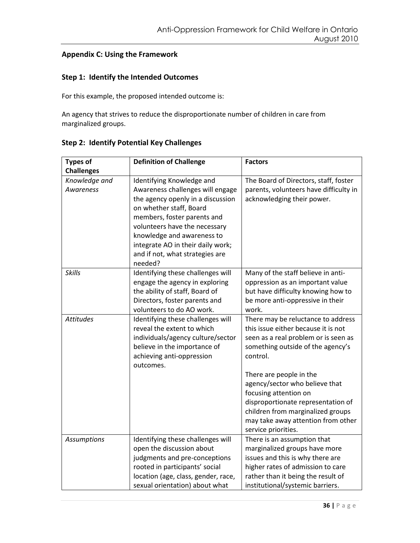# **Appendix C: Using the Framework**

### **Step 1: Identify the Intended Outcomes**

For this example, the proposed intended outcome is:

An agency that strives to reduce the disproportionate number of children in care from marginalized groups.

| <b>Types of</b>    | <b>Definition of Challenge</b>      | <b>Factors</b>                         |
|--------------------|-------------------------------------|----------------------------------------|
| <b>Challenges</b>  |                                     |                                        |
| Knowledge and      | Identifying Knowledge and           | The Board of Directors, staff, foster  |
| Awareness          | Awareness challenges will engage    | parents, volunteers have difficulty in |
|                    | the agency openly in a discussion   | acknowledging their power.             |
|                    | on whether staff, Board             |                                        |
|                    | members, foster parents and         |                                        |
|                    | volunteers have the necessary       |                                        |
|                    | knowledge and awareness to          |                                        |
|                    | integrate AO in their daily work;   |                                        |
|                    | and if not, what strategies are     |                                        |
|                    | needed?                             |                                        |
| <b>Skills</b>      | Identifying these challenges will   | Many of the staff believe in anti-     |
|                    | engage the agency in exploring      | oppression as an important value       |
|                    | the ability of staff, Board of      | but have difficulty knowing how to     |
|                    | Directors, foster parents and       | be more anti-oppressive in their       |
|                    | volunteers to do AO work.           | work.                                  |
| <b>Attitudes</b>   | Identifying these challenges will   | There may be reluctance to address     |
|                    | reveal the extent to which          | this issue either because it is not    |
|                    | individuals/agency culture/sector   | seen as a real problem or is seen as   |
|                    | believe in the importance of        | something outside of the agency's      |
|                    | achieving anti-oppression           | control.                               |
|                    | outcomes.                           |                                        |
|                    |                                     | There are people in the                |
|                    |                                     | agency/sector who believe that         |
|                    |                                     | focusing attention on                  |
|                    |                                     | disproportionate representation of     |
|                    |                                     | children from marginalized groups      |
|                    |                                     | may take away attention from other     |
|                    |                                     | service priorities.                    |
| <b>Assumptions</b> | Identifying these challenges will   | There is an assumption that            |
|                    | open the discussion about           | marginalized groups have more          |
|                    | judgments and pre-conceptions       | issues and this is why there are       |
|                    | rooted in participants' social      | higher rates of admission to care      |
|                    | location (age, class, gender, race, | rather than it being the result of     |
|                    | sexual orientation) about what      | institutional/systemic barriers.       |

**Step 2: Identify Potential Key Challenges**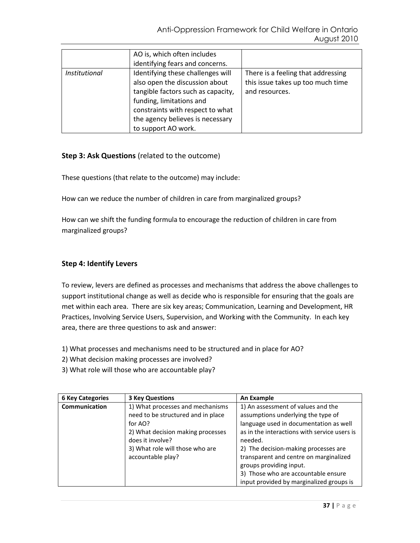|                      | AO is, which often includes        |                                    |
|----------------------|------------------------------------|------------------------------------|
|                      | identifying fears and concerns.    |                                    |
| <i>Institutional</i> | Identifying these challenges will  | There is a feeling that addressing |
|                      | also open the discussion about     | this issue takes up too much time  |
|                      | tangible factors such as capacity, | and resources.                     |
|                      | funding, limitations and           |                                    |
|                      | constraints with respect to what   |                                    |
|                      | the agency believes is necessary   |                                    |
|                      | to support AO work.                |                                    |

### **Step 3: Ask Questions** (related to the outcome)

These questions (that relate to the outcome) may include:

How can we reduce the number of children in care from marginalized groups?

How can we shift the funding formula to encourage the reduction of children in care from marginalized groups?

### **Step 4: Identify Levers**

To review, levers are defined as processes and mechanisms that address the above challenges to support institutional change as well as decide who is responsible for ensuring that the goals are met within each area. There are six key areas; Communication, Learning and Development, HR Practices, Involving Service Users, Supervision, and Working with the Community. In each key area, there are three questions to ask and answer:

- 1) What processes and mechanisms need to be structured and in place for AO?
- 2) What decision making processes are involved?
- 3) What role will those who are accountable play?

| <b>6 Key Categories</b> | <b>3 Key Questions</b>                                                                                                                                                                             | An Example                                                                                                                                                                                                                                                                                                                                                                    |
|-------------------------|----------------------------------------------------------------------------------------------------------------------------------------------------------------------------------------------------|-------------------------------------------------------------------------------------------------------------------------------------------------------------------------------------------------------------------------------------------------------------------------------------------------------------------------------------------------------------------------------|
| <b>Communication</b>    | 1) What processes and mechanisms<br>need to be structured and in place<br>for AO?<br>2) What decision making processes<br>does it involve?<br>3) What role will those who are<br>accountable play? | 1) An assessment of values and the<br>assumptions underlying the type of<br>language used in documentation as well<br>as in the interactions with service users is<br>needed.<br>2) The decision-making processes are<br>transparent and centre on marginalized<br>groups providing input.<br>3) Those who are accountable ensure<br>input provided by marginalized groups is |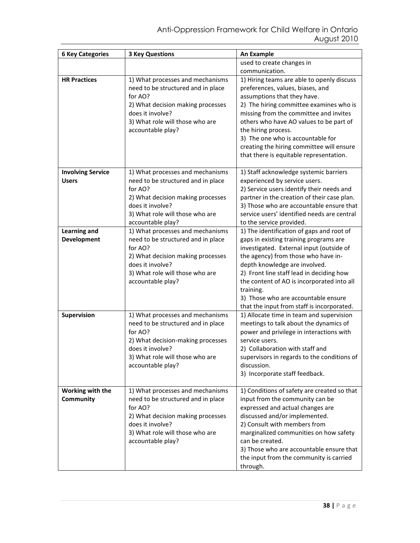| <b>6 Key Categories</b>       | <b>3 Key Questions</b>                                                                                                                                                                             | <b>An Example</b>                                                                                                                                                                                                                                                                                                                                                                                 |
|-------------------------------|----------------------------------------------------------------------------------------------------------------------------------------------------------------------------------------------------|---------------------------------------------------------------------------------------------------------------------------------------------------------------------------------------------------------------------------------------------------------------------------------------------------------------------------------------------------------------------------------------------------|
|                               |                                                                                                                                                                                                    | used to create changes in                                                                                                                                                                                                                                                                                                                                                                         |
|                               |                                                                                                                                                                                                    | communication.                                                                                                                                                                                                                                                                                                                                                                                    |
| <b>HR Practices</b>           | 1) What processes and mechanisms<br>need to be structured and in place<br>for AO?<br>2) What decision making processes<br>does it involve?<br>3) What role will those who are<br>accountable play? | 1) Hiring teams are able to openly discuss<br>preferences, values, biases, and<br>assumptions that they have.<br>2) The hiring committee examines who is<br>missing from the committee and invites<br>others who have AO values to be part of<br>the hiring process.<br>3) The one who is accountable for<br>creating the hiring committee will ensure<br>that there is equitable representation. |
| <b>Involving Service</b>      | 1) What processes and mechanisms                                                                                                                                                                   | 1) Staff acknowledge systemic barriers                                                                                                                                                                                                                                                                                                                                                            |
| <b>Users</b>                  | need to be structured and in place<br>for AO?<br>2) What decision making processes<br>does it involve?<br>3) What role will those who are<br>accountable play?                                     | experienced by service users.<br>2) Service users identify their needs and<br>partner in the creation of their case plan.<br>3) Those who are accountable ensure that<br>service users' identified needs are central<br>to the service provided.                                                                                                                                                  |
| <b>Learning and</b>           | 1) What processes and mechanisms                                                                                                                                                                   | 1) The identification of gaps and root of                                                                                                                                                                                                                                                                                                                                                         |
| <b>Development</b>            | need to be structured and in place<br>for AO?<br>2) What decision making processes<br>does it involve?<br>3) What role will those who are<br>accountable play?                                     | gaps in existing training programs are<br>investigated. External input (outside of<br>the agency) from those who have in-<br>depth knowledge are involved.<br>2) Front line staff lead in deciding how<br>the content of AO is incorporated into all<br>training.<br>3) Those who are accountable ensure<br>that the input from staff is incorporated.                                            |
| Supervision                   | 1) What processes and mechanisms<br>need to be structured and in place<br>for AO?<br>2) What decision-making processes<br>does it involve?<br>3) What role will those who are<br>accountable play? | 1) Allocate time in team and supervision<br>meetings to talk about the dynamics of<br>power and privilege in interactions with<br>service users.<br>2) Collaboration with staff and<br>supervisors in regards to the conditions of<br>discussion.<br>3) Incorporate staff feedback.                                                                                                               |
| Working with the<br>Community | 1) What processes and mechanisms<br>need to be structured and in place<br>for AO?<br>2) What decision making processes<br>does it involve?<br>3) What role will those who are<br>accountable play? | 1) Conditions of safety are created so that<br>input from the community can be<br>expressed and actual changes are<br>discussed and/or implemented.<br>2) Consult with members from<br>marginalized communities on how safety<br>can be created.<br>3) Those who are accountable ensure that<br>the input from the community is carried<br>through.                                               |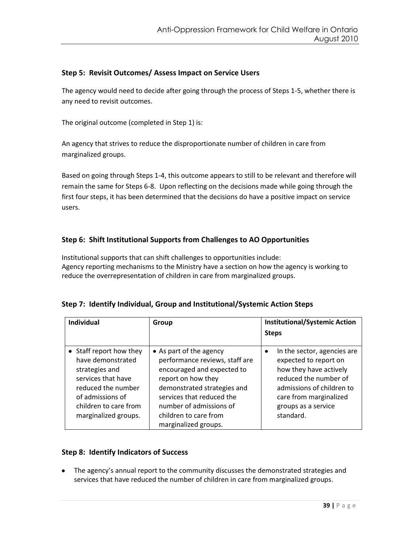### **Step 5: Revisit Outcomes/ Assess Impact on Service Users**

The agency would need to decide after going through the process of Steps 1-5, whether there is any need to revisit outcomes.

The original outcome (completed in Step 1) is:

An agency that strives to reduce the disproportionate number of children in care from marginalized groups.

Based on going through Steps 1-4, this outcome appears to still to be relevant and therefore will remain the same for Steps 6-8. Upon reflecting on the decisions made while going through the first four steps, it has been determined that the decisions do have a positive impact on service users.

### **Step 6: Shift Institutional Supports from Challenges to AO Opportunities**

Institutional supports that can shift challenges to opportunities include: Agency reporting mechanisms to the Ministry have a section on how the agency is working to reduce the overrepresentation of children in care from marginalized groups.

| <b>Individual</b>                                                                                                                                                               | Group                                                                                                                                                                                                                                                 | <b>Institutional/Systemic Action</b><br><b>Steps</b>                                                                                                                                               |
|---------------------------------------------------------------------------------------------------------------------------------------------------------------------------------|-------------------------------------------------------------------------------------------------------------------------------------------------------------------------------------------------------------------------------------------------------|----------------------------------------------------------------------------------------------------------------------------------------------------------------------------------------------------|
| • Staff report how they<br>have demonstrated<br>strategies and<br>services that have<br>reduced the number<br>of admissions of<br>children to care from<br>marginalized groups. | • As part of the agency<br>performance reviews, staff are<br>encouraged and expected to<br>report on how they<br>demonstrated strategies and<br>services that reduced the<br>number of admissions of<br>children to care from<br>marginalized groups. | In the sector, agencies are<br>expected to report on<br>how they have actively<br>reduced the number of<br>admissions of children to<br>care from marginalized<br>groups as a service<br>standard. |

| Step 7: Identify Individual, Group and Institutional/Systemic Action Steps |  |  |  |  |  |  |
|----------------------------------------------------------------------------|--|--|--|--|--|--|
|----------------------------------------------------------------------------|--|--|--|--|--|--|

### **Step 8: Identify Indicators of Success**

• The agency's annual report to the community discusses the demonstrated strategies and services that have reduced the number of children in care from marginalized groups.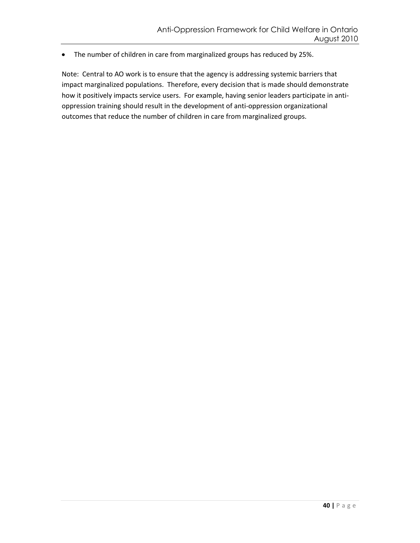The number of children in care from marginalized groups has reduced by 25%.

Note: Central to AO work is to ensure that the agency is addressing systemic barriers that impact marginalized populations. Therefore, every decision that is made should demonstrate how it positively impacts service users. For example, having senior leaders participate in antioppression training should result in the development of anti-oppression organizational outcomes that reduce the number of children in care from marginalized groups.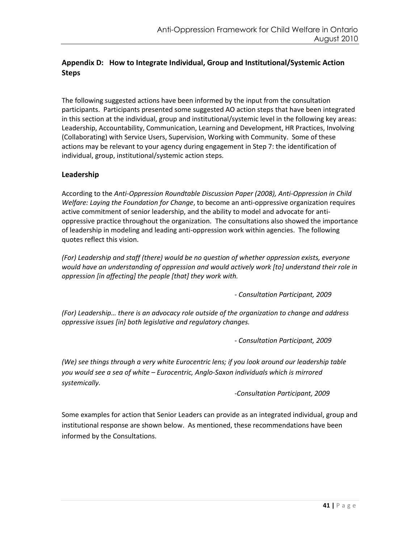# **Appendix D: How to Integrate Individual, Group and Institutional/Systemic Action Steps**

The following suggested actions have been informed by the input from the consultation participants. Participants presented some suggested AO action steps that have been integrated in this section at the individual, group and institutional/systemic level in the following key areas: Leadership, Accountability, Communication, Learning and Development, HR Practices, Involving (Collaborating) with Service Users, Supervision, Working with Community. Some of these actions may be relevant to your agency during engagement in Step 7: the identification of individual, group, institutional/systemic action steps.

### **Leadership**

According to the *Anti-Oppression Roundtable Discussion Paper (2008), Anti-Oppression in Child Welfare: Laying the Foundation for Change*, to become an anti-oppressive organization requires active commitment of senior leadership, and the ability to model and advocate for antioppressive practice throughout the organization. The consultations also showed the importance of leadership in modeling and leading anti-oppression work within agencies. The following quotes reflect this vision.

*(For) Leadership and staff (there) would be no question of whether oppression exists, everyone would have an understanding of oppression and would actively work [to] understand their role in oppression [in affecting] the people [that] they work with.*

*- Consultation Participant, 2009*

*(For) Leadership… there is an advocacy role outside of the organization to change and address oppressive issues [in] both legislative and regulatory changes.*

*- Consultation Participant, 2009*

*(We) see things through a very white Eurocentric lens; if you look around our leadership table you would see a sea of white – Eurocentric, Anglo-Saxon individuals which is mirrored systemically.*

*-Consultation Participant, 2009*

Some examples for action that Senior Leaders can provide as an integrated individual, group and institutional response are shown below. As mentioned, these recommendations have been informed by the Consultations.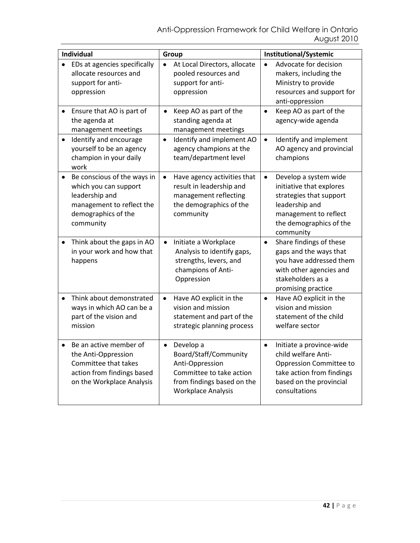| <b>Individual</b>                                                                                                                                                           | Group                                                                                                                                                                                    | Institutional/Systemic                                                                                                                                                                          |
|-----------------------------------------------------------------------------------------------------------------------------------------------------------------------------|------------------------------------------------------------------------------------------------------------------------------------------------------------------------------------------|-------------------------------------------------------------------------------------------------------------------------------------------------------------------------------------------------|
| EDs at agencies specifically<br>$\bullet$<br>allocate resources and<br>support for anti-<br>oppression<br>Ensure that AO is part of<br>the agenda at<br>management meetings | At Local Directors, allocate<br>$\bullet$<br>pooled resources and<br>support for anti-<br>oppression<br>Keep AO as part of the<br>$\bullet$<br>standing agenda at<br>management meetings | Advocate for decision<br>$\bullet$<br>makers, including the<br>Ministry to provide<br>resources and support for<br>anti-oppression<br>Keep AO as part of the<br>$\bullet$<br>agency-wide agenda |
| Identify and encourage<br>$\bullet$<br>yourself to be an agency<br>champion in your daily<br>work                                                                           | Identify and implement AO<br>$\bullet$<br>agency champions at the<br>team/department level                                                                                               | Identify and implement<br>$\bullet$<br>AO agency and provincial<br>champions                                                                                                                    |
| Be conscious of the ways in<br>which you can support<br>leadership and<br>management to reflect the<br>demographics of the<br>community                                     | Have agency activities that<br>$\bullet$<br>result in leadership and<br>management reflecting<br>the demographics of the<br>community                                                    | Develop a system wide<br>$\bullet$<br>initiative that explores<br>strategies that support<br>leadership and<br>management to reflect<br>the demographics of the<br>community                    |
| Think about the gaps in AO<br>in your work and how that<br>happens                                                                                                          | Initiate a Workplace<br>$\bullet$<br>Analysis to identify gaps,<br>strengths, levers, and<br>champions of Anti-<br>Oppression                                                            | Share findings of these<br>$\bullet$<br>gaps and the ways that<br>you have addressed them<br>with other agencies and<br>stakeholders as a<br>promising practice                                 |
| Think about demonstrated<br>ways in which AO can be a<br>part of the vision and<br>mission                                                                                  | Have AO explicit in the<br>$\bullet$<br>vision and mission<br>statement and part of the<br>strategic planning process                                                                    | Have AO explicit in the<br>$\bullet$<br>vision and mission<br>statement of the child<br>welfare sector                                                                                          |
| Be an active member of<br>the Anti-Oppression<br>Committee that takes<br>action from findings based<br>on the Workplace Analysis                                            | Develop a<br>$\bullet$<br>Board/Staff/Community<br>Anti-Oppression<br>Committee to take action<br>from findings based on the<br>Workplace Analysis                                       | Initiate a province-wide<br>$\bullet$<br>child welfare Anti-<br>Oppression Committee to<br>take action from findings<br>based on the provincial<br>consultations                                |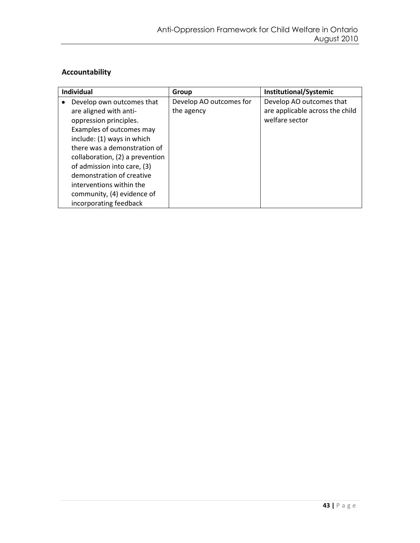# **Accountability**

| <b>Individual</b>                                                                                                                                                                                                                                                                                                                                               | Group                                 | Institutional/Systemic                                                        |
|-----------------------------------------------------------------------------------------------------------------------------------------------------------------------------------------------------------------------------------------------------------------------------------------------------------------------------------------------------------------|---------------------------------------|-------------------------------------------------------------------------------|
| Develop own outcomes that<br>٠<br>are aligned with anti-<br>oppression principles.<br>Examples of outcomes may<br>include: (1) ways in which<br>there was a demonstration of<br>collaboration, (2) a prevention<br>of admission into care, (3)<br>demonstration of creative<br>interventions within the<br>community, (4) evidence of<br>incorporating feedback | Develop AO outcomes for<br>the agency | Develop AO outcomes that<br>are applicable across the child<br>welfare sector |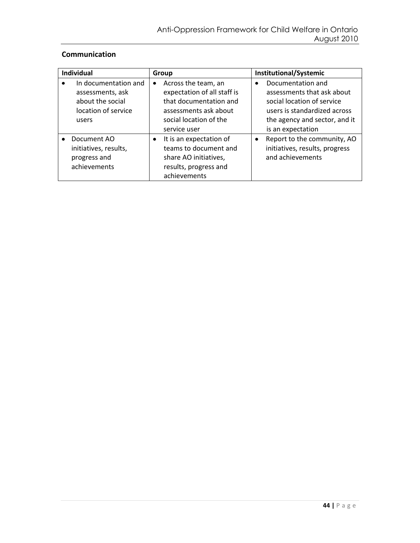# **Communication**

| <b>Individual</b>                                                                            | Group                                                                                                                                                        | <b>Institutional/Systemic</b>                                                                                                                                       |
|----------------------------------------------------------------------------------------------|--------------------------------------------------------------------------------------------------------------------------------------------------------------|---------------------------------------------------------------------------------------------------------------------------------------------------------------------|
| In documentation and<br>assessments, ask<br>about the social<br>location of service<br>users | Across the team, an<br>$\bullet$<br>expectation of all staff is<br>that documentation and<br>assessments ask about<br>social location of the<br>service user | Documentation and<br>assessments that ask about<br>social location of service<br>users is standardized across<br>the agency and sector, and it<br>is an expectation |
| Document AO<br>initiatives, results,<br>progress and<br>achievements                         | It is an expectation of<br>teams to document and<br>share AO initiatives,<br>results, progress and<br>achievements                                           | Report to the community, AO<br>initiatives, results, progress<br>and achievements                                                                                   |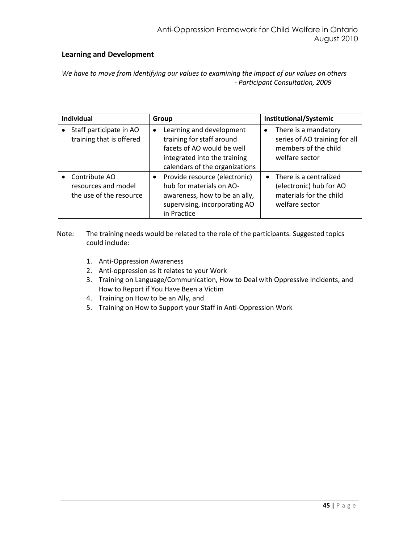### **Learning and Development**

*We have to move from identifying our values to examining the impact of our values on others - Participant Consultation, 2009*

| <b>Individual</b>                                               | Group                                                                                                                                                              | <b>Institutional/Systemic</b>                                                                        |
|-----------------------------------------------------------------|--------------------------------------------------------------------------------------------------------------------------------------------------------------------|------------------------------------------------------------------------------------------------------|
| Staff participate in AO<br>٠<br>training that is offered        | Learning and development<br>$\bullet$<br>training for staff around<br>facets of AO would be well<br>integrated into the training<br>calendars of the organizations | There is a mandatory<br>٠<br>series of AO training for all<br>members of the child<br>welfare sector |
| Contribute AO<br>resources and model<br>the use of the resource | Provide resource (electronic)<br>$\bullet$<br>hub for materials on AO-<br>awareness, how to be an ally,<br>supervising, incorporating AO<br>in Practice            | • There is a centralized<br>(electronic) hub for AO<br>materials for the child<br>welfare sector     |

- Note: The training needs would be related to the role of the participants. Suggested topics could include:
	- 1. Anti-Oppression Awareness
	- 2. Anti-oppression as it relates to your Work
	- 3. Training on Language/Communication, How to Deal with Oppressive Incidents, and How to Report if You Have Been a Victim
	- 4. Training on How to be an Ally, and
	- 5. Training on How to Support your Staff in Anti-Oppression Work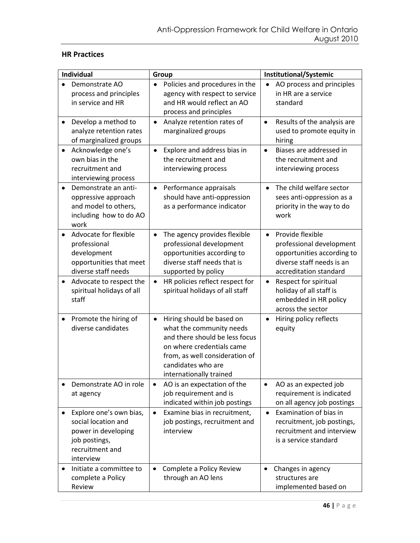# **HR Practices**

| Individual                                                                                                             | Group                                                                                                                                                                                                        | Institutional/Systemic                                                                                                                         |
|------------------------------------------------------------------------------------------------------------------------|--------------------------------------------------------------------------------------------------------------------------------------------------------------------------------------------------------------|------------------------------------------------------------------------------------------------------------------------------------------------|
| Demonstrate AO<br>process and principles<br>in service and HR                                                          | Policies and procedures in the<br>agency with respect to service<br>and HR would reflect an AO<br>process and principles                                                                                     | AO process and principles<br>in HR are a service<br>standard                                                                                   |
| Develop a method to<br>٠<br>analyze retention rates<br>of marginalized groups                                          | Analyze retention rates of<br>$\bullet$<br>marginalized groups                                                                                                                                               | Results of the analysis are<br>$\bullet$<br>used to promote equity in<br>hiring                                                                |
| Acknowledge one's<br>own bias in the<br>recruitment and<br>interviewing process                                        | Explore and address bias in<br>$\bullet$<br>the recruitment and<br>interviewing process                                                                                                                      | Biases are addressed in<br>$\bullet$<br>the recruitment and<br>interviewing process                                                            |
| Demonstrate an anti-<br>$\bullet$<br>oppressive approach<br>and model to others,<br>including how to do AO<br>work     | Performance appraisals<br>$\bullet$<br>should have anti-oppression<br>as a performance indicator                                                                                                             | The child welfare sector<br>$\bullet$<br>sees anti-oppression as a<br>priority in the way to do<br>work                                        |
| Advocate for flexible<br>professional<br>development<br>opportunities that meet<br>diverse staff needs                 | The agency provides flexible<br>٠<br>professional development<br>opportunities according to<br>diverse staff needs that is<br>supported by policy                                                            | Provide flexible<br>$\bullet$<br>professional development<br>opportunities according to<br>diverse staff needs is an<br>accreditation standard |
| Advocate to respect the<br>٠<br>spiritual holidays of all<br>staff                                                     | HR policies reflect respect for<br>$\bullet$<br>spiritual holidays of all staff                                                                                                                              | Respect for spiritual<br>$\bullet$<br>holiday of all staff is<br>embedded in HR policy<br>across the sector                                    |
| Promote the hiring of<br>٠<br>diverse candidates                                                                       | Hiring should be based on<br>٠<br>what the community needs<br>and there should be less focus<br>on where credentials came<br>from, as well consideration of<br>candidates who are<br>internationally trained | Hiring policy reflects<br>$\bullet$<br>equity                                                                                                  |
| Demonstrate AO in role<br>at agency                                                                                    | AO is an expectation of the<br>٠<br>job requirement and is<br>indicated within job postings                                                                                                                  | AO as an expected job<br>٠<br>requirement is indicated<br>on all agency job postings                                                           |
| Explore one's own bias,<br>social location and<br>power in developing<br>job postings,<br>recruitment and<br>interview | Examine bias in recruitment,<br>$\bullet$<br>job postings, recruitment and<br>interview                                                                                                                      | Examination of bias in<br>$\bullet$<br>recruitment, job postings,<br>recruitment and interview<br>is a service standard                        |
| Initiate a committee to<br>٠<br>complete a Policy<br>Review                                                            | Complete a Policy Review<br>through an AO lens                                                                                                                                                               | Changes in agency<br>٠<br>structures are<br>implemented based on                                                                               |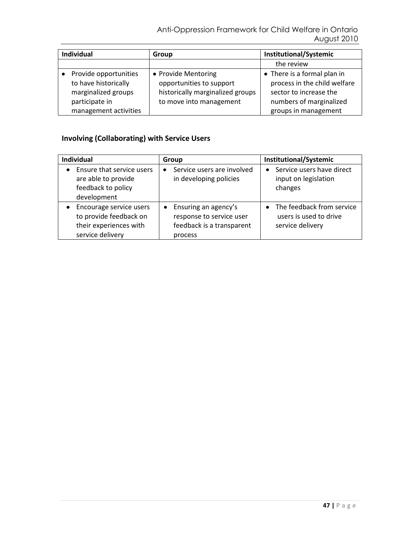| <b>Individual</b>                                                                      | Group                                                                                                          | <b>Institutional/Systemic</b>                                                                                    |
|----------------------------------------------------------------------------------------|----------------------------------------------------------------------------------------------------------------|------------------------------------------------------------------------------------------------------------------|
|                                                                                        |                                                                                                                | the review                                                                                                       |
| Provide opportunities<br>to have historically<br>marginalized groups<br>participate in | • Provide Mentoring<br>opportunities to support<br>historically marginalized groups<br>to move into management | • There is a formal plan in<br>process in the child welfare<br>sector to increase the<br>numbers of marginalized |
| management activities                                                                  |                                                                                                                | groups in management                                                                                             |

# **Involving (Collaborating) with Service Users**

| <b>Individual</b>                                                                               | Group                                                                                         | Institutional/Systemic                                                               |
|-------------------------------------------------------------------------------------------------|-----------------------------------------------------------------------------------------------|--------------------------------------------------------------------------------------|
| Ensure that service users<br>are able to provide<br>feedback to policy<br>development           | Service users are involved<br>in developing policies                                          | Service users have direct<br>$\bullet$<br>input on legislation<br>changes            |
| Encourage service users<br>to provide feedback on<br>their experiences with<br>service delivery | Ensuring an agency's<br>٠<br>response to service user<br>feedback is a transparent<br>process | The feedback from service<br>$\bullet$<br>users is used to drive<br>service delivery |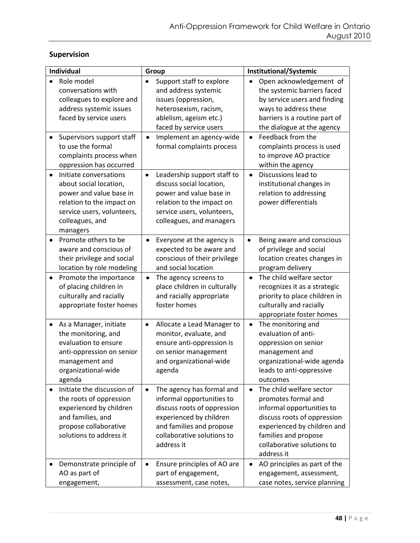# **Supervision**

| <b>Individual</b>                                                                                                                                                                  | Group                                                                                                                                                                                                 | Institutional/Systemic                                                                                                                                                                                                      |
|------------------------------------------------------------------------------------------------------------------------------------------------------------------------------------|-------------------------------------------------------------------------------------------------------------------------------------------------------------------------------------------------------|-----------------------------------------------------------------------------------------------------------------------------------------------------------------------------------------------------------------------------|
| Role model<br>conversations with<br>colleagues to explore and<br>address systemic issues<br>faced by service users<br>Supervisors support staff                                    | Support staff to explore<br>and address systemic<br>issues (oppression,<br>heterosexism, racism,<br>ablelism, ageism etc.)<br>faced by service users<br>Implement an agency-wide<br>$\bullet$         | Open acknowledgement of<br>the systemic barriers faced<br>by service users and finding<br>ways to address these<br>barriers is a routine part of<br>the dialogue at the agency<br>Feedback from the<br>$\bullet$            |
| to use the formal<br>complaints process when<br>oppression has occurred                                                                                                            | formal complaints process                                                                                                                                                                             | complaints process is used<br>to improve AO practice<br>within the agency                                                                                                                                                   |
| Initiate conversations<br>$\bullet$<br>about social location,<br>power and value base in<br>relation to the impact on<br>service users, volunteers,<br>colleagues, and<br>managers | Leadership support staff to<br>$\bullet$<br>discuss social location,<br>power and value base in<br>relation to the impact on<br>service users, volunteers,<br>colleagues, and managers                | Discussions lead to<br>$\bullet$<br>institutional changes in<br>relation to addressing<br>power differentials                                                                                                               |
| Promote others to be<br>aware and conscious of<br>their privilege and social<br>location by role modeling                                                                          | Everyone at the agency is<br>٠<br>expected to be aware and<br>conscious of their privilege<br>and social location                                                                                     | Being aware and conscious<br>$\bullet$<br>of privilege and social<br>location creates changes in<br>program delivery                                                                                                        |
| Promote the importance<br>$\bullet$<br>of placing children in<br>culturally and racially<br>appropriate foster homes                                                               | The agency screens to<br>٠<br>place children in culturally<br>and racially appropriate<br>foster homes                                                                                                | The child welfare sector<br>$\bullet$<br>recognizes it as a strategic<br>priority to place children in<br>culturally and racially<br>appropriate foster homes                                                               |
| As a Manager, initiate<br>٠<br>the monitoring, and<br>evaluation to ensure<br>anti-oppression on senior<br>management and<br>organizational-wide<br>agenda                         | Allocate a Lead Manager to<br>٠<br>monitor, evaluate, and<br>ensure anti-oppression is<br>on senior management<br>and organizational-wide<br>agenda                                                   | The monitoring and<br>$\bullet$<br>evaluation of anti-<br>oppression on senior<br>management and<br>organizational-wide agenda<br>leads to anti-oppressive<br>outcomes                                                      |
| Initiate the discussion of<br>$\bullet$<br>the roots of oppression<br>experienced by children<br>and families, and<br>propose collaborative<br>solutions to address it             | $\bullet$<br>The agency has formal and<br>informal opportunities to<br>discuss roots of oppression<br>experienced by children<br>and families and propose<br>collaborative solutions to<br>address it | The child welfare sector<br>$\bullet$<br>promotes formal and<br>informal opportunities to<br>discuss roots of oppression<br>experienced by children and<br>families and propose<br>collaborative solutions to<br>address it |
| Demonstrate principle of<br>AO as part of<br>engagement,                                                                                                                           | Ensure principles of AO are<br>part of engagement,<br>assessment, case notes,                                                                                                                         | AO principles as part of the<br>$\bullet$<br>engagement, assessment,<br>case notes, service planning                                                                                                                        |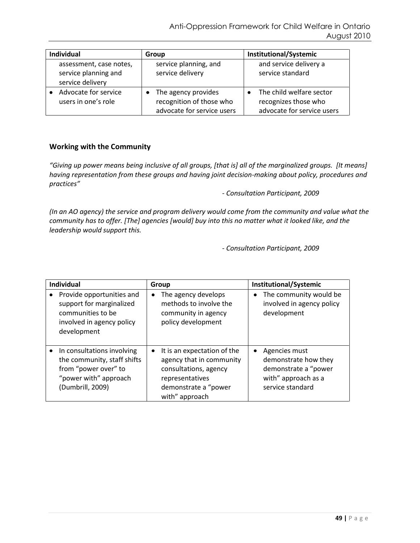| <b>Individual</b>                                                   | Group                                                                                      | <b>Institutional/Systemic</b>                                                  |
|---------------------------------------------------------------------|--------------------------------------------------------------------------------------------|--------------------------------------------------------------------------------|
| assessment, case notes,<br>service planning and<br>service delivery | service planning, and<br>service delivery                                                  | and service delivery a<br>service standard                                     |
| Advocate for service<br>users in one's role                         | The agency provides<br>$\bullet$<br>recognition of those who<br>advocate for service users | The child welfare sector<br>recognizes those who<br>advocate for service users |

### **Working with the Community**

*"Giving up power means being inclusive of all groups, [that is] all of the marginalized groups. [It means] having representation from these groups and having joint decision-making about policy, procedures and practices"*

*- Consultation Participant, 2009*

*(In an AO agency) the service and program delivery would come from the community and value what the community has to offer. [The] agencies [would] buy into this no matter what it looked like, and the leadership would support this.*

*- Consultation Participant, 2009*

| <b>Individual</b>                                                                                                                           | Group                                                                                                                                              | <b>Institutional/Systemic</b>                                                                                         |
|---------------------------------------------------------------------------------------------------------------------------------------------|----------------------------------------------------------------------------------------------------------------------------------------------------|-----------------------------------------------------------------------------------------------------------------------|
| Provide opportunities and<br>٠<br>support for marginalized<br>communities to be<br>involved in agency policy<br>development                 | The agency develops<br>٠<br>methods to involve the<br>community in agency<br>policy development                                                    | The community would be<br>involved in agency policy<br>development                                                    |
| In consultations involving<br>$\bullet$<br>the community, staff shifts<br>from "power over" to<br>"power with" approach<br>(Dumbrill, 2009) | It is an expectation of the<br>٠<br>agency that in community<br>consultations, agency<br>representatives<br>demonstrate a "power<br>with" approach | Agencies must<br>$\bullet$<br>demonstrate how they<br>demonstrate a "power<br>with" approach as a<br>service standard |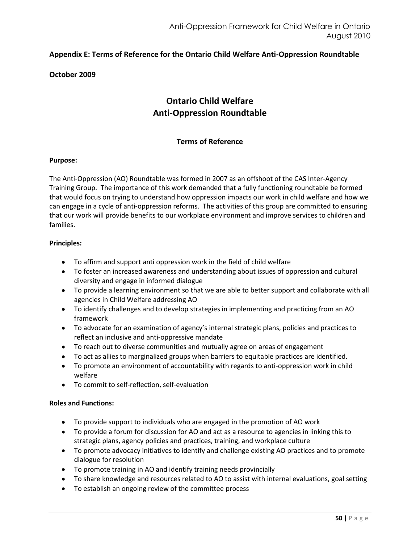### **Appendix E: Terms of Reference for the Ontario Child Welfare Anti-Oppression Roundtable**

### **October 2009**

# **Ontario Child Welfare Anti-Oppression Roundtable**

### **Terms of Reference**

#### **Purpose:**

The Anti-Oppression (AO) Roundtable was formed in 2007 as an offshoot of the CAS Inter-Agency Training Group. The importance of this work demanded that a fully functioning roundtable be formed that would focus on trying to understand how oppression impacts our work in child welfare and how we can engage in a cycle of anti-oppression reforms. The activities of this group are committed to ensuring that our work will provide benefits to our workplace environment and improve services to children and families.

#### **Principles:**

- To affirm and support anti oppression work in the field of child welfare
- To foster an increased awareness and understanding about issues of oppression and cultural diversity and engage in informed dialogue
- To provide a learning environment so that we are able to better support and collaborate with all agencies in Child Welfare addressing AO
- To identify challenges and to develop strategies in implementing and practicing from an AO framework
- To advocate for an examination of agency's internal strategic plans, policies and practices to reflect an inclusive and anti-oppressive mandate
- To reach out to diverse communities and mutually agree on areas of engagement
- To act as allies to marginalized groups when barriers to equitable practices are identified.
- To promote an environment of accountability with regards to anti-oppression work in child welfare
- To commit to self-reflection, self-evaluation

#### **Roles and Functions:**

- To provide support to individuals who are engaged in the promotion of AO work
- To provide a forum for discussion for AO and act as a resource to agencies in linking this to strategic plans, agency policies and practices, training, and workplace culture
- To promote advocacy initiatives to identify and challenge existing AO practices and to promote dialogue for resolution
- To promote training in AO and identify training needs provincially
- To share knowledge and resources related to AO to assist with internal evaluations, goal setting
- To establish an ongoing review of the committee process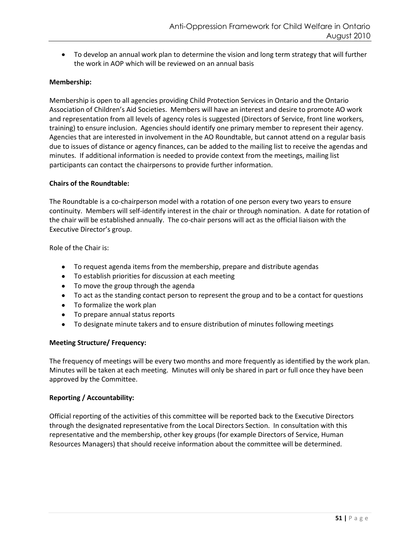To develop an annual work plan to determine the vision and long term strategy that will further the work in AOP which will be reviewed on an annual basis

#### **Membership:**

Membership is open to all agencies providing Child Protection Services in Ontario and the Ontario Association of Children's Aid Societies. Members will have an interest and desire to promote AO work and representation from all levels of agency roles is suggested (Directors of Service, front line workers, training) to ensure inclusion. Agencies should identify one primary member to represent their agency. Agencies that are interested in involvement in the AO Roundtable, but cannot attend on a regular basis due to issues of distance or agency finances, can be added to the mailing list to receive the agendas and minutes. If additional information is needed to provide context from the meetings, mailing list participants can contact the chairpersons to provide further information.

#### **Chairs of the Roundtable:**

The Roundtable is a co-chairperson model with a rotation of one person every two years to ensure continuity. Members will self-identify interest in the chair or through nomination. A date for rotation of the chair will be established annually. The co-chair persons will act as the official liaison with the Executive Director's group.

Role of the Chair is:

- To request agenda items from the membership, prepare and distribute agendas
- To establish priorities for discussion at each meeting
- To move the group through the agenda
- To act as the standing contact person to represent the group and to be a contact for questions
- To formalize the work plan
- To prepare annual status reports
- To designate minute takers and to ensure distribution of minutes following meetings

#### **Meeting Structure/ Frequency:**

The frequency of meetings will be every two months and more frequently as identified by the work plan. Minutes will be taken at each meeting. Minutes will only be shared in part or full once they have been approved by the Committee.

#### **Reporting / Accountability:**

Official reporting of the activities of this committee will be reported back to the Executive Directors through the designated representative from the Local Directors Section. In consultation with this representative and the membership, other key groups (for example Directors of Service, Human Resources Managers) that should receive information about the committee will be determined.